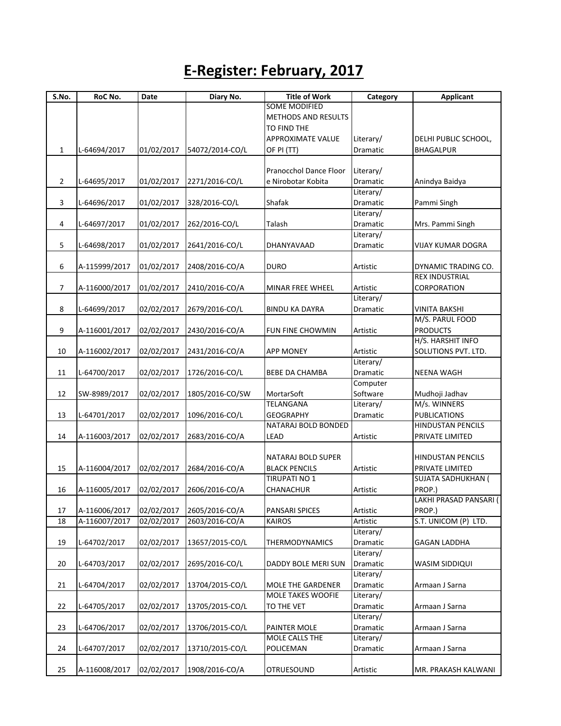## **E-Register: February, 2017**

| S.No.        | RoC No.       | Date       | Diary No.       | <b>Title of Work</b>                         | Category              | <b>Applicant</b>                         |
|--------------|---------------|------------|-----------------|----------------------------------------------|-----------------------|------------------------------------------|
|              |               |            |                 | <b>SOME MODIFIED</b>                         |                       |                                          |
|              |               |            |                 | <b>METHODS AND RESULTS</b>                   |                       |                                          |
|              |               |            |                 | TO FIND THE                                  |                       |                                          |
|              |               |            |                 | <b>APPROXIMATE VALUE</b>                     | Literary/             | DELHI PUBLIC SCHOOL,                     |
| $\mathbf{1}$ | L-64694/2017  | 01/02/2017 | 54072/2014-CO/L | OF PI (TT)                                   | Dramatic              | <b>BHAGALPUR</b>                         |
|              |               |            |                 |                                              |                       |                                          |
|              |               | 01/02/2017 |                 | Pranocchol Dance Floor<br>e Nirobotar Kobita | Literary/<br>Dramatic |                                          |
| $\mathbf{2}$ | L-64695/2017  |            | 2271/2016-CO/L  |                                              | Literary/             | Anindya Baidya                           |
| 3            | L-64696/2017  | 01/02/2017 | 328/2016-CO/L   | Shafak                                       | Dramatic              | Pammi Singh                              |
|              |               |            |                 |                                              | Literary/             |                                          |
| 4            | L-64697/2017  | 01/02/2017 | 262/2016-CO/L   | Talash                                       | Dramatic              | Mrs. Pammi Singh                         |
|              |               |            |                 |                                              | Literary/             |                                          |
| 5            | L-64698/2017  | 01/02/2017 | 2641/2016-CO/L  | DHANYAVAAD                                   | Dramatic              | <b>VIJAY KUMAR DOGRA</b>                 |
|              |               |            |                 |                                              |                       |                                          |
| 6            | A-115999/2017 | 01/02/2017 | 2408/2016-CO/A  | <b>DURO</b>                                  | Artistic              | DYNAMIC TRADING CO.                      |
|              |               |            |                 |                                              |                       | REX INDUSTRIAL                           |
| 7            | A-116000/2017 | 01/02/2017 | 2410/2016-CO/A  | MINAR FREE WHEEL                             | Artistic              | CORPORATION                              |
|              |               |            |                 |                                              | Literary/             |                                          |
| 8            | L-64699/2017  | 02/02/2017 | 2679/2016-CO/L  | <b>BINDU KA DAYRA</b>                        | Dramatic              | <b>VINITA BAKSHI</b>                     |
|              |               |            |                 |                                              |                       | M/S. PARUL FOOD                          |
| 9            | A-116001/2017 | 02/02/2017 | 2430/2016-CO/A  | FUN FINE CHOWMIN                             | Artistic              | <b>PRODUCTS</b>                          |
|              |               |            |                 |                                              |                       | H/S. HARSHIT INFO<br>SOLUTIONS PVT. LTD. |
| 10           | A-116002/2017 | 02/02/2017 | 2431/2016-CO/A  | <b>APP MONEY</b>                             | Artistic<br>Literary/ |                                          |
| 11           |               | 02/02/2017 |                 | <b>BEBE DA CHAMBA</b>                        | Dramatic              | <b>NEENA WAGH</b>                        |
|              | L-64700/2017  |            | 1726/2016-CO/L  |                                              | Computer              |                                          |
| 12           | SW-8989/2017  | 02/02/2017 | 1805/2016-CO/SW | MortarSoft                                   | Software              | Mudhoji Jadhav                           |
|              |               |            |                 | TELANGANA                                    | Literary/             | M/s. WINNERS                             |
| 13           | L-64701/2017  | 02/02/2017 | 1096/2016-CO/L  | <b>GEOGRAPHY</b>                             | Dramatic              | <b>PUBLICATIONS</b>                      |
|              |               |            |                 | <b>NATARAJ BOLD BONDED</b>                   |                       | <b>HINDUSTAN PENCILS</b>                 |
| 14           | A-116003/2017 | 02/02/2017 | 2683/2016-CO/A  | LEAD                                         | Artistic              | PRIVATE LIMITED                          |
|              |               |            |                 |                                              |                       |                                          |
|              |               |            |                 | <b>NATARAJ BOLD SUPER</b>                    |                       | <b>HINDUSTAN PENCILS</b>                 |
| 15           | A-116004/2017 | 02/02/2017 | 2684/2016-CO/A  | <b>BLACK PENCILS</b>                         | Artistic              | PRIVATE LIMITED                          |
|              |               |            |                 | TIRUPATI NO 1                                |                       | <b>SUJATA SADHUKHAN (</b>                |
| 16           | A-116005/2017 | 02/02/2017 | 2606/2016-CO/A  | CHANACHUR                                    | Artistic              | PROP.)                                   |
|              |               |            |                 |                                              |                       | LAKHI PRASAD PANSARI (                   |
| 17           | A-116006/2017 | 02/02/2017 | 2605/2016-CO/A  | <b>PANSARI SPICES</b>                        | Artistic              | PROP.)                                   |
| 18           | A-116007/2017 | 02/02/2017 | 2603/2016-CO/A  | <b>KAIROS</b>                                | Artistic              | S.T. UNICOM (P) LTD.                     |
|              |               |            |                 |                                              | Literary/             |                                          |
| 19           | L-64702/2017  | 02/02/2017 | 13657/2015-CO/L | THERMODYNAMICS                               | Dramatic<br>Literary/ | <b>GAGAN LADDHA</b>                      |
| 20           | L-64703/2017  | 02/02/2017 | 2695/2016-CO/L  | DADDY BOLE MERI SUN                          | Dramatic              | WASIM SIDDIQUI                           |
|              |               |            |                 |                                              | Literary/             |                                          |
| 21           | L-64704/2017  | 02/02/2017 | 13704/2015-CO/L | <b>MOLE THE GARDENER</b>                     | Dramatic              | Armaan J Sarna                           |
|              |               |            |                 | MOLE TAKES WOOFIE                            | Literary/             |                                          |
| 22           | L-64705/2017  | 02/02/2017 | 13705/2015-CO/L | TO THE VET                                   | Dramatic              | Armaan J Sarna                           |
|              |               |            |                 |                                              | Literary/             |                                          |
| 23           | L-64706/2017  | 02/02/2017 | 13706/2015-CO/L | PAINTER MOLE                                 | Dramatic              | Armaan J Sarna                           |
|              |               |            |                 | MOLE CALLS THE                               | Literary/             |                                          |
| 24           | L-64707/2017  | 02/02/2017 | 13710/2015-CO/L | POLICEMAN                                    | Dramatic              | Armaan J Sarna                           |
|              |               |            |                 |                                              |                       |                                          |
| 25           | A-116008/2017 | 02/02/2017 | 1908/2016-CO/A  | <b>OTRUESOUND</b>                            | Artistic              | MR. PRAKASH KALWANI                      |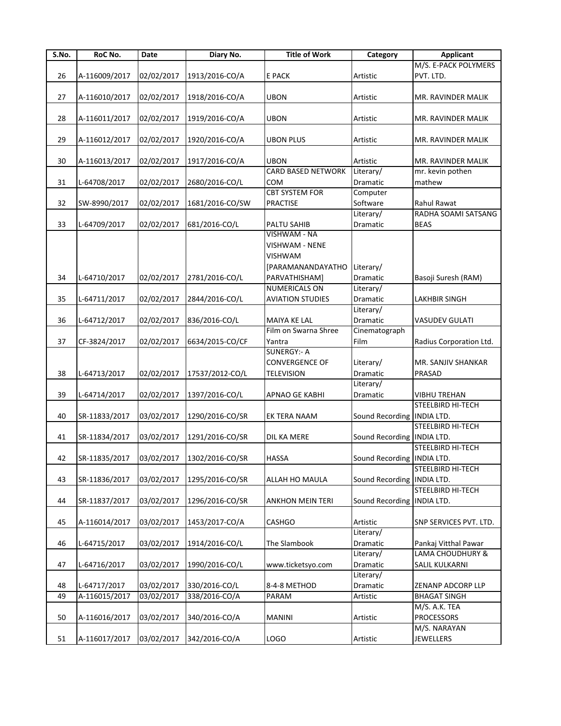| S.No. | RoC No.       | Date       | Diary No.                                | <b>Title of Work</b>      | Category                     | <b>Applicant</b>        |
|-------|---------------|------------|------------------------------------------|---------------------------|------------------------------|-------------------------|
|       |               |            |                                          |                           |                              | M/S. E-PACK POLYMERS    |
| 26    | A-116009/2017 | 02/02/2017 | 1913/2016-CO/A                           | <b>E PACK</b>             | Artistic                     | PVT. LTD.               |
|       |               |            |                                          |                           |                              |                         |
| 27    | A-116010/2017 | 02/02/2017 | 1918/2016-CO/A                           | <b>UBON</b>               | Artistic                     | MR. RAVINDER MALIK      |
|       |               |            |                                          |                           |                              |                         |
| 28    | A-116011/2017 | 02/02/2017 | 1919/2016-CO/A                           | <b>UBON</b>               | Artistic                     | MR. RAVINDER MALIK      |
|       |               |            |                                          |                           |                              |                         |
| 29    | A-116012/2017 | 02/02/2017 | 1920/2016-CO/A                           | <b>UBON PLUS</b>          | Artistic                     | MR. RAVINDER MALIK      |
|       |               |            |                                          |                           |                              |                         |
| 30    | A-116013/2017 | 02/02/2017 | 1917/2016-CO/A                           | <b>UBON</b>               | Artistic                     | MR. RAVINDER MALIK      |
|       |               |            |                                          | <b>CARD BASED NETWORK</b> | Literary/                    | mr. kevin pothen        |
| 31    | L-64708/2017  | 02/02/2017 | 2680/2016-CO/L                           | COM                       | Dramatic                     | mathew                  |
|       |               |            |                                          | <b>CBT SYSTEM FOR</b>     | Computer                     |                         |
| 32    | SW-8990/2017  | 02/02/2017 | 1681/2016-CO/SW                          | <b>PRACTISE</b>           | Software                     | Rahul Rawat             |
|       |               |            |                                          |                           | Literary/                    | RADHA SOAMI SATSANG     |
| 33    | L-64709/2017  | 02/02/2017 | 681/2016-CO/L                            | PALTU SAHIB               | Dramatic                     | <b>BEAS</b>             |
|       |               |            |                                          | VISHWAM - NA              |                              |                         |
|       |               |            |                                          | VISHWAM - NENE            |                              |                         |
|       |               |            |                                          | <b>VISHWAM</b>            |                              |                         |
|       |               |            |                                          | [PARAMANANDAYATHO         | Literary/                    |                         |
| 34    | L-64710/2017  | 02/02/2017 | 2781/2016-CO/L                           | PARVATHISHAM]             | <b>Dramatic</b>              | Basoji Suresh (RAM)     |
|       |               |            |                                          | NUMERICALS ON             | Literary/                    |                         |
| 35    | L-64711/2017  | 02/02/2017 | 2844/2016-CO/L                           | <b>AVIATION STUDIES</b>   | <b>Dramatic</b>              | LAKHBIR SINGH           |
|       |               |            |                                          |                           | Literary/                    |                         |
| 36    | L-64712/2017  | 02/02/2017 | 836/2016-CO/L                            | MAIYA KE LAL              | Dramatic                     | <b>VASUDEV GULATI</b>   |
|       |               |            |                                          | Film on Swarna Shree      | Cinematograph                |                         |
| 37    | CF-3824/2017  | 02/02/2017 | 6634/2015-CO/CF                          | Yantra                    | Film                         | Radius Corporation Ltd. |
|       |               |            |                                          | <b>SUNERGY:- A</b>        |                              |                         |
|       |               |            |                                          | <b>CONVERGENCE OF</b>     | Literary/                    | MR. SANJIV SHANKAR      |
| 38    | L-64713/2017  | 02/02/2017 | 17537/2012-CO/L                          | <b>TELEVISION</b>         | Dramatic                     | PRASAD                  |
|       |               |            |                                          |                           | Literary/                    |                         |
| 39    | L-64714/2017  | 02/02/2017 | 1397/2016-CO/L                           | APNAO GE KABHI            | Dramatic                     | <b>VIBHU TREHAN</b>     |
|       |               |            |                                          |                           |                              | STEELBIRD HI-TECH       |
| 40    | SR-11833/2017 | 03/02/2017 | 1290/2016-CO/SR                          | EK TERA NAAM              | Sound Recording INDIA LTD.   |                         |
|       |               |            |                                          |                           |                              | STEELBIRD HI-TECH       |
| 41    | SR-11834/2017 | 03/02/2017 | 1291/2016-CO/SR                          | DIL KA MERE               | Sound Recording INDIA LTD.   |                         |
|       |               |            |                                          |                           |                              | STEELBIRD HI-TECH       |
| 42    |               |            | SR-11835/2017 03/02/2017 1302/2016-CO/SR | <b>HASSA</b>              | Sound Recording INDIA LTD.   |                         |
|       |               |            |                                          |                           |                              | STEELBIRD HI-TECH       |
| 43    | SR-11836/2017 | 03/02/2017 | 1295/2016-CO/SR                          | ALLAH HO MAULA            | Sound Recording              | <b>INDIA LTD.</b>       |
|       |               |            |                                          |                           |                              | STEELBIRD HI-TECH       |
| 44    | SR-11837/2017 | 03/02/2017 | 1296/2016-CO/SR                          | <b>ANKHON MEIN TERI</b>   | Sound Recording   INDIA LTD. |                         |
|       |               |            |                                          |                           |                              |                         |
| 45    | A-116014/2017 | 03/02/2017 | 1453/2017-CO/A                           | <b>CASHGO</b>             | Artistic                     | SNP SERVICES PVT. LTD.  |
|       |               |            |                                          |                           | Literary/                    |                         |
| 46    | L-64715/2017  | 03/02/2017 | 1914/2016-CO/L                           | The Slambook              | Dramatic                     | Pankaj Vitthal Pawar    |
|       |               |            |                                          |                           | Literary/                    | LAMA CHOUDHURY &        |
| 47    | L-64716/2017  | 03/02/2017 | 1990/2016-CO/L                           | www.ticketsyo.com         | Dramatic                     | SALIL KULKARNI          |
|       |               |            |                                          |                           | Literary/                    |                         |
| 48    | L-64717/2017  | 03/02/2017 | 330/2016-CO/L                            | 8-4-8 METHOD              | Dramatic                     | ZENANP ADCORP LLP       |
| 49    | A-116015/2017 | 03/02/2017 | 338/2016-CO/A                            | PARAM                     | Artistic                     | <b>BHAGAT SINGH</b>     |
|       |               |            |                                          |                           |                              | M/S. A.K. TEA           |
| 50    | A-116016/2017 |            | 340/2016-CO/A                            | <b>MANINI</b>             |                              | <b>PROCESSORS</b>       |
|       |               | 03/02/2017 |                                          |                           | Artistic                     | M/S. NARAYAN            |
| 51    |               |            |                                          |                           |                              |                         |
|       | A-116017/2017 | 03/02/2017 | 342/2016-CO/A                            | <b>LOGO</b>               | Artistic                     | JEWELLERS               |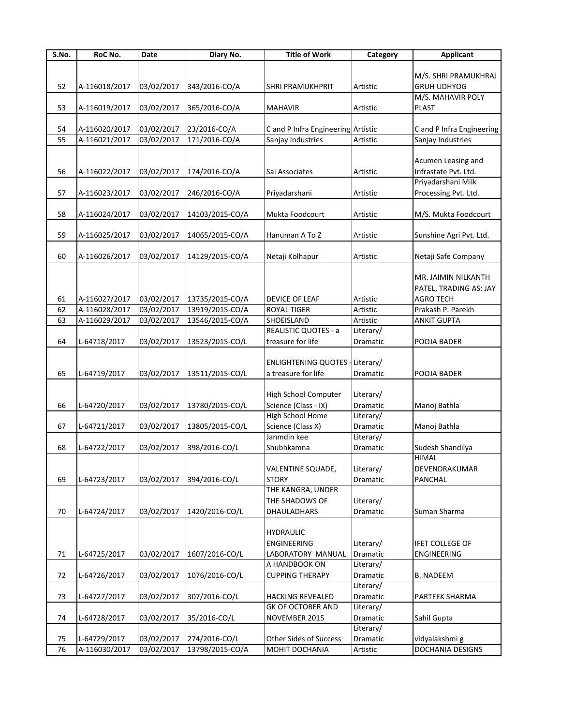| S.No. | RoC No.       | Date       | Diary No.       | <b>Title of Work</b>               | Category  | <b>Applicant</b>          |
|-------|---------------|------------|-----------------|------------------------------------|-----------|---------------------------|
|       |               |            |                 |                                    |           |                           |
|       |               |            |                 |                                    |           | M/S. SHRI PRAMUKHRAJ      |
| 52    | A-116018/2017 | 03/02/2017 | 343/2016-CO/A   | <b>SHRI PRAMUKHPRIT</b>            | Artistic  | <b>GRUH UDHYOG</b>        |
|       |               |            |                 |                                    |           | M/S. MAHAVIR POLY         |
| 53    | A-116019/2017 | 03/02/2017 | 365/2016-CO/A   | <b>MAHAVIR</b>                     | Artistic  | <b>PLAST</b>              |
|       |               |            |                 |                                    |           |                           |
| 54    | A-116020/2017 | 03/02/2017 | 23/2016-CO/A    | C and P Infra Engineering Artistic |           | C and P Infra Engineering |
| 55    | A-116021/2017 | 03/02/2017 | 171/2016-CO/A   | Sanjay Industries                  | Artistic  | Sanjay Industries         |
|       |               |            |                 |                                    |           |                           |
|       |               |            |                 |                                    |           |                           |
|       |               |            |                 |                                    |           | Acumen Leasing and        |
| 56    | A-116022/2017 | 03/02/2017 | 174/2016-CO/A   | Sai Associates                     | Artistic  | Infrastate Pvt. Ltd.      |
|       |               |            |                 |                                    |           | Priyadarshani Milk        |
| 57    | A-116023/2017 | 03/02/2017 | 246/2016-CO/A   | Priyadarshani                      | Artistic  | Processing Pvt. Ltd.      |
|       |               |            |                 |                                    |           |                           |
| 58    | A-116024/2017 | 03/02/2017 | 14103/2015-CO/A | Mukta Foodcourt                    | Artistic  | M/S. Mukta Foodcourt      |
|       |               |            |                 |                                    |           |                           |
| 59    | A-116025/2017 | 03/02/2017 | 14065/2015-CO/A | Hanuman A To Z                     | Artistic  | Sunshine Agri Pvt. Ltd.   |
|       |               |            |                 |                                    |           |                           |
| 60    | A-116026/2017 | 03/02/2017 | 14129/2015-CO/A | Netaji Kolhapur                    | Artistic  | Netaji Safe Company       |
|       |               |            |                 |                                    |           |                           |
|       |               |            |                 |                                    |           |                           |
|       |               |            |                 |                                    |           | MR. JAIMIN NILKANTH       |
|       |               |            |                 |                                    |           | PATEL, TRADING AS: JAY    |
| 61    | A-116027/2017 | 03/02/2017 | 13735/2015-CO/A | <b>DEVICE OF LEAF</b>              | Artistic  | <b>AGRO TECH</b>          |
| 62    | A-116028/2017 | 03/02/2017 | 13919/2015-CO/A | <b>ROYAL TIGER</b>                 | Artistic  | Prakash P. Parekh         |
| 63    | A-116029/2017 | 03/02/2017 | 13546/2015-CO/A | SHOEISLAND                         | Artistic  | <b>ANKIT GUPTA</b>        |
|       |               |            |                 | REALISTIC QUOTES - a               | Literary/ |                           |
| 64    | L-64718/2017  | 03/02/2017 | 13523/2015-CO/L | treasure for life                  | Dramatic  | POOJA BADER               |
|       |               |            |                 |                                    |           |                           |
|       |               |            |                 | <b>ENLIGHTENING QUOTES -</b>       | Literary/ |                           |
| 65    | L-64719/2017  | 03/02/2017 | 13511/2015-CO/L | a treasure for life                | Dramatic  | POOJA BADER               |
|       |               |            |                 |                                    |           |                           |
|       |               |            |                 |                                    |           |                           |
|       |               |            |                 | <b>High School Computer</b>        | Literary/ |                           |
| 66    | L-64720/2017  | 03/02/2017 | 13780/2015-CO/L | Science (Class - IX)               | Dramatic  | Manoj Bathla              |
|       |               |            |                 | <b>High School Home</b>            | Literary/ |                           |
| 67    | L-64721/2017  | 03/02/2017 | 13805/2015-CO/L | Science (Class X)                  | Dramatic  | Manoj Bathla              |
|       |               |            |                 | Janmdin kee                        | Literary/ |                           |
| 68    | L-64722/2017  | 03/02/2017 | 398/2016-CO/L   | Shubhkamna                         | Dramatic  | Sudesh Shandilya          |
|       |               |            |                 |                                    |           | <b>HIMAL</b>              |
|       |               |            |                 | <b>VALENTINE SQUADE,</b>           | Literary/ | DEVENDRAKUMAR             |
| 69    | L-64723/2017  | 03/02/2017 | 394/2016-CO/L   | <b>STORY</b>                       | Dramatic  | PANCHAL                   |
|       |               |            |                 | THE KANGRA, UNDER                  |           |                           |
|       |               |            |                 | THE SHADOWS OF                     | Literary/ |                           |
| 70    | L-64724/2017  | 03/02/2017 | 1420/2016-CO/L  | DHAULADHARS                        | Dramatic  | Suman Sharma              |
|       |               |            |                 |                                    |           |                           |
|       |               |            |                 |                                    |           |                           |
|       |               |            |                 | <b>HYDRAULIC</b>                   |           |                           |
|       |               |            |                 | <b>ENGINEERING</b>                 | Literary/ | <b>IFET COLLEGE OF</b>    |
| 71    | L-64725/2017  | 03/02/2017 | 1607/2016-CO/L  | LABORATORY MANUAL                  | Dramatic  | <b>ENGINEERING</b>        |
|       |               |            |                 | A HANDBOOK ON                      | Literary/ |                           |
| 72    | L-64726/2017  | 03/02/2017 | 1076/2016-CO/L  | <b>CUPPING THERAPY</b>             | Dramatic  | <b>B. NADEEM</b>          |
|       |               |            |                 |                                    | Literary/ |                           |
| 73    | L-64727/2017  | 03/02/2017 | 307/2016-CO/L   | <b>HACKING REVEALED</b>            | Dramatic  | PARTEEK SHARMA            |
|       |               |            |                 | GK OF OCTOBER AND                  | Literary/ |                           |
| 74    | L-64728/2017  | 03/02/2017 | 35/2016-CO/L    | NOVEMBER 2015                      | Dramatic  | Sahil Gupta               |
|       |               |            |                 |                                    | Literary/ |                           |
| 75    | L-64729/2017  | 03/02/2017 |                 | Other Sides of Success             |           |                           |
|       |               |            | 274/2016-CO/L   |                                    | Dramatic  | vidyalakshmi g            |
| 76    | A-116030/2017 | 03/02/2017 | 13798/2015-CO/A | MOHIT DOCHANIA                     | Artistic  | DOCHANIA DESIGNS          |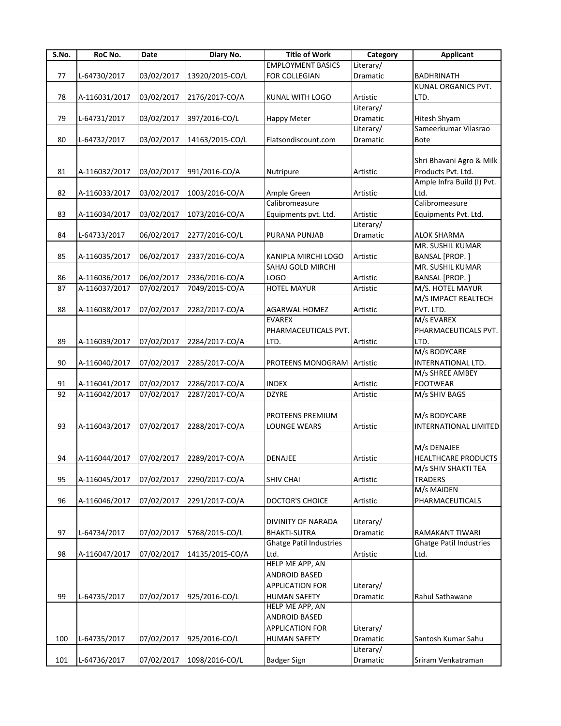| S.No. | RoC No.                  | Date       | Diary No.       | <b>Title of Work</b>           | Category  | <b>Applicant</b>             |
|-------|--------------------------|------------|-----------------|--------------------------------|-----------|------------------------------|
|       |                          |            |                 | <b>EMPLOYMENT BASICS</b>       | Literary/ |                              |
| 77    | L-64730/2017             | 03/02/2017 | 13920/2015-CO/L | FOR COLLEGIAN                  | Dramatic  | <b>BADHRINATH</b>            |
|       |                          |            |                 |                                |           | KUNAL ORGANICS PVT.          |
| 78    | A-116031/2017            | 03/02/2017 | 2176/2017-CO/A  | KUNAL WITH LOGO                | Artistic  | LTD.                         |
|       |                          |            |                 |                                | Literary/ |                              |
| 79    | L-64731/2017             | 03/02/2017 | 397/2016-CO/L   | Happy Meter                    | Dramatic  | Hitesh Shyam                 |
|       |                          |            |                 |                                | Literary/ | Sameerkumar Vilasrao         |
| 80    | L-64732/2017             | 03/02/2017 | 14163/2015-CO/L | Flatsondiscount.com            | Dramatic  | Bote                         |
|       |                          |            |                 |                                |           |                              |
|       |                          |            |                 |                                |           |                              |
|       |                          |            |                 |                                |           | Shri Bhavani Agro & Milk     |
| 81    | A-116032/2017            | 03/02/2017 | 991/2016-CO/A   | Nutripure                      | Artistic  | Products Pvt. Ltd.           |
|       |                          |            |                 |                                |           | Ample Infra Build (I) Pvt.   |
| 82    | A-116033/2017            | 03/02/2017 | 1003/2016-CO/A  | Ample Green                    | Artistic  | Ltd.                         |
|       |                          |            |                 | Calibromeasure                 |           | Calibromeasure               |
| 83    | A-116034/2017            | 03/02/2017 | 1073/2016-CO/A  | Equipments pvt. Ltd.           | Artistic  | Equipments Pvt. Ltd.         |
|       |                          |            |                 |                                | Literary/ |                              |
| 84    | L-64733/2017             | 06/02/2017 | 2277/2016-CO/L  | PURANA PUNJAB                  | Dramatic  | <b>ALOK SHARMA</b>           |
|       |                          |            |                 |                                |           | MR. SUSHIL KUMAR             |
| 85    | A-116035/2017            | 06/02/2017 | 2337/2016-CO/A  | KANIPLA MIRCHI LOGO            | Artistic  | BANSAL [PROP.]               |
|       |                          |            |                 | SAHAJ GOLD MIRCHI              |           | MR. SUSHIL KUMAR             |
| 86    | A-116036/2017            |            | 2336/2016-CO/A  | <b>LOGO</b>                    | Artistic  | BANSAL [PROP.]               |
|       |                          | 06/02/2017 |                 |                                |           |                              |
| 87    | A-116037/2017            | 07/02/2017 | 7049/2015-CO/A  | <b>HOTEL MAYUR</b>             | Artistic  | M/S. HOTEL MAYUR             |
|       |                          |            |                 |                                |           | M/S IMPACT REALTECH          |
| 88    | A-116038/2017            | 07/02/2017 | 2282/2017-CO/A  | AGARWAL HOMEZ                  | Artistic  | PVT. LTD.                    |
|       |                          |            |                 | <b>EVAREX</b>                  |           | M/s EVAREX                   |
|       |                          |            |                 | PHARMACEUTICALS PVT.           |           | PHARMACEUTICALS PVT.         |
| 89    | A-116039/2017            | 07/02/2017 | 2284/2017-CO/A  | LTD.                           | Artistic  | LTD.                         |
|       |                          |            |                 |                                |           | M/s BODYCARE                 |
| 90    | A-116040/2017            | 07/02/2017 | 2285/2017-CO/A  | PROTEENS MONOGRAM              | Artistic  | INTERNATIONAL LTD.           |
|       |                          |            |                 |                                |           | M/s SHREE AMBEY              |
| 91    | A-116041/2017            | 07/02/2017 | 2286/2017-CO/A  | <b>INDEX</b>                   | Artistic  | <b>FOOTWEAR</b>              |
| 92    | A-116042/2017            | 07/02/2017 | 2287/2017-CO/A  | <b>DZYRE</b>                   | Artistic  | M/s SHIV BAGS                |
|       |                          |            |                 |                                |           |                              |
|       |                          |            |                 |                                |           |                              |
|       |                          |            |                 | PROTEENS PREMIUM               |           | M/s BODYCARE                 |
| 93    | A-116043/2017            | 07/02/2017 | 2288/2017-CO/A  | <b>LOUNGE WEARS</b>            | Artistic  | <b>INTERNATIONAL LIMITED</b> |
|       |                          |            |                 |                                |           |                              |
|       |                          |            |                 |                                |           | M/s DENAJEE                  |
| 94    | A-116044/2017 07/02/2017 |            | 2289/2017-CO/A  | <b>DENAJEE</b>                 | Artistic  | <b>HEALTHCARE PRODUCTS</b>   |
|       |                          |            |                 |                                |           | M/s SHIV SHAKTI TEA          |
| 95    | A-116045/2017            | 07/02/2017 | 2290/2017-CO/A  | <b>SHIV CHAI</b>               | Artistic  | <b>TRADERS</b>               |
|       |                          |            |                 |                                |           | M/s MAIDEN                   |
| 96    | A-116046/2017            | 07/02/2017 | 2291/2017-CO/A  | DOCTOR'S CHOICE                | Artistic  | PHARMACEUTICALS              |
|       |                          |            |                 |                                |           |                              |
|       |                          |            |                 | <b>DIVINITY OF NARADA</b>      | Literary/ |                              |
| 97    | L-64734/2017             | 07/02/2017 | 5768/2015-CO/L  | <b>BHAKTI-SUTRA</b>            | Dramatic  | RAMAKANT TIWARI              |
|       |                          |            |                 |                                |           |                              |
|       |                          |            |                 | <b>Ghatge Patil Industries</b> |           | Ghatge Patil Industries      |
| 98    | A-116047/2017            | 07/02/2017 | 14135/2015-CO/A | Ltd.                           | Artistic  | Ltd.                         |
|       |                          |            |                 | HELP ME APP, AN                |           |                              |
|       |                          |            |                 | ANDROID BASED                  |           |                              |
|       |                          |            |                 | <b>APPLICATION FOR</b>         | Literary/ |                              |
| 99    | L-64735/2017             | 07/02/2017 | 925/2016-CO/L   | <b>HUMAN SAFETY</b>            | Dramatic  | Rahul Sathawane              |
|       |                          |            |                 | HELP ME APP, AN                |           |                              |
|       |                          |            |                 | ANDROID BASED                  |           |                              |
|       |                          |            |                 | <b>APPLICATION FOR</b>         | Literary/ |                              |
| 100   | L-64735/2017             | 07/02/2017 | 925/2016-CO/L   | <b>HUMAN SAFETY</b>            | Dramatic  | Santosh Kumar Sahu           |
|       |                          |            |                 |                                | Literary/ |                              |
|       |                          |            |                 |                                |           |                              |
| 101   | L-64736/2017             | 07/02/2017 | 1098/2016-CO/L  | <b>Badger Sign</b>             | Dramatic  | Sriram Venkatraman           |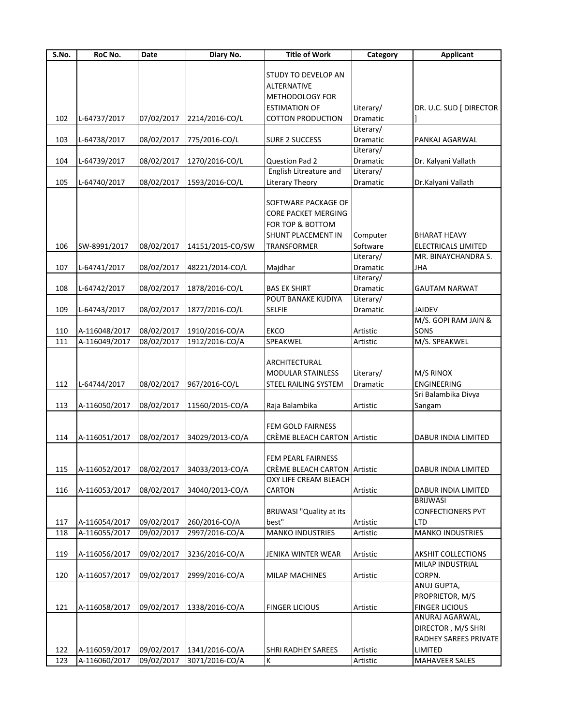| S.No. | RoC No.       | Date       | Diary No.        | <b>Title of Work</b>                | Category  | <b>Applicant</b>          |
|-------|---------------|------------|------------------|-------------------------------------|-----------|---------------------------|
|       |               |            |                  |                                     |           |                           |
|       |               |            |                  | STUDY TO DEVELOP AN                 |           |                           |
|       |               |            |                  | ALTERNATIVE                         |           |                           |
|       |               |            |                  | METHODOLOGY FOR                     |           |                           |
|       |               |            |                  | <b>ESTIMATION OF</b>                | Literary/ | DR. U.C. SUD [ DIRECTOR   |
| 102   | L-64737/2017  | 07/02/2017 | 2214/2016-CO/L   | <b>COTTON PRODUCTION</b>            | Dramatic  |                           |
|       |               |            |                  |                                     | Literary/ |                           |
| 103   | L-64738/2017  | 08/02/2017 | 775/2016-CO/L    | <b>SURE 2 SUCCESS</b>               | Dramatic  | PANKAJ AGARWAL            |
|       |               |            |                  |                                     | Literary/ |                           |
| 104   | L-64739/2017  | 08/02/2017 | 1270/2016-CO/L   | Question Pad 2                      | Dramatic  | Dr. Kalyani Vallath       |
|       |               |            |                  | English Litreature and              | Literary/ |                           |
| 105   | L-64740/2017  | 08/02/2017 | 1593/2016-CO/L   | Literary Theory                     | Dramatic  | Dr.Kalyani Vallath        |
|       |               |            |                  |                                     |           |                           |
|       |               |            |                  | SOFTWARE PACKAGE OF                 |           |                           |
|       |               |            |                  | <b>CORE PACKET MERGING</b>          |           |                           |
|       |               |            |                  | FOR TOP & BOTTOM                    |           |                           |
|       |               |            |                  | SHUNT PLACEMENT IN                  | Computer  | <b>BHARAT HEAVY</b>       |
| 106   | SW-8991/2017  | 08/02/2017 | 14151/2015-CO/SW | TRANSFORMER                         | Software  | ELECTRICALS LIMITED       |
|       |               |            |                  |                                     | Literary/ | MR. BINAYCHANDRA S.       |
|       |               |            |                  |                                     |           |                           |
| 107   | L-64741/2017  | 08/02/2017 | 48221/2014-CO/L  | Majdhar                             | Dramatic  | <b>JHA</b>                |
|       |               |            |                  |                                     | Literary/ |                           |
| 108   | L-64742/2017  | 08/02/2017 | 1878/2016-CO/L   | <b>BAS EK SHIRT</b>                 | Dramatic  | <b>GAUTAM NARWAT</b>      |
|       |               |            |                  | POUT BANAKE KUDIYA                  | Literary/ |                           |
| 109   | L-64743/2017  | 08/02/2017 | 1877/2016-CO/L   | <b>SELFIE</b>                       | Dramatic  | <b>JAIDEV</b>             |
|       |               |            |                  |                                     |           | M/S. GOPI RAM JAIN &      |
| 110   | A-116048/2017 | 08/02/2017 | 1910/2016-CO/A   | <b>EKCO</b>                         | Artistic  | SONS                      |
| 111   | A-116049/2017 | 08/02/2017 | 1912/2016-CO/A   | SPEAKWEL                            | Artistic  | M/S. SPEAKWEL             |
|       |               |            |                  |                                     |           |                           |
|       |               |            |                  | ARCHITECTURAL                       |           |                           |
|       |               |            |                  | MODULAR STAINLESS                   | Literary/ | M/S RINOX                 |
| 112   | L-64744/2017  | 08/02/2017 | 967/2016-CO/L    | STEEL RAILING SYSTEM                | Dramatic  | ENGINEERING               |
|       |               |            |                  |                                     |           | Sri Balambika Divya       |
| 113   | A-116050/2017 | 08/02/2017 | 11560/2015-CO/A  | Raja Balambika                      | Artistic  | Sangam                    |
|       |               |            |                  |                                     |           |                           |
|       |               |            |                  | FEM GOLD FAIRNESS                   |           |                           |
| 114   | A-116051/2017 | 08/02/2017 | 34029/2013-CO/A  | <b>CRÈME BLEACH CARTON Artistic</b> |           | DABUR INDIA LIMITED       |
|       |               |            |                  |                                     |           |                           |
|       |               |            |                  | FEM PEARL FAIRNESS                  |           |                           |
| 115   | A-116052/2017 | 08/02/2017 | 34033/2013-CO/A  | CRÈME BLEACH CARTON Artistic        |           | DABUR INDIA LIMITED       |
|       |               |            |                  | OXY LIFE CREAM BLEACH               |           |                           |
| 116   | A-116053/2017 | 08/02/2017 | 34040/2013-CO/A  | CARTON                              | Artistic  | DABUR INDIA LIMITED       |
|       |               |            |                  |                                     |           | BRIJWASI                  |
|       |               |            |                  | <b>BRIJWASI "Quality at its</b>     |           | <b>CONFECTIONERS PVT</b>  |
| 117   |               |            |                  | best"                               |           | <b>LTD</b>                |
|       | A-116054/2017 | 09/02/2017 | 260/2016-CO/A    |                                     | Artistic  |                           |
| 118   | A-116055/2017 | 09/02/2017 | 2997/2016-CO/A   | <b>MANKO INDUSTRIES</b>             | Artistic  | <b>MANKO INDUSTRIES</b>   |
|       |               |            |                  |                                     |           |                           |
| 119   | A-116056/2017 | 09/02/2017 | 3236/2016-CO/A   | JENIKA WINTER WEAR                  | Artistic  | <b>AKSHIT COLLECTIONS</b> |
|       |               |            |                  |                                     |           | MILAP INDUSTRIAL          |
| 120   | A-116057/2017 | 09/02/2017 | 2999/2016-CO/A   | <b>MILAP MACHINES</b>               | Artistic  | CORPN.                    |
|       |               |            |                  |                                     |           | ANUJ GUPTA,               |
|       |               |            |                  |                                     |           | PROPRIETOR, M/S           |
| 121   | A-116058/2017 | 09/02/2017 | 1338/2016-CO/A   | <b>FINGER LICIOUS</b>               | Artistic  | <b>FINGER LICIOUS</b>     |
|       |               |            |                  |                                     |           | ANURAJ AGARWAL,           |
|       |               |            |                  |                                     |           | DIRECTOR, M/S SHRI        |
|       |               |            |                  |                                     |           | RADHEY SAREES PRIVATE     |
| 122   | A-116059/2017 | 09/02/2017 | 1341/2016-CO/A   | <b>SHRI RADHEY SAREES</b>           | Artistic  | LIMITED                   |
| 123   | A-116060/2017 | 09/02/2017 | 3071/2016-CO/A   | K                                   | Artistic  | MAHAVEER SALES            |
|       |               |            |                  |                                     |           |                           |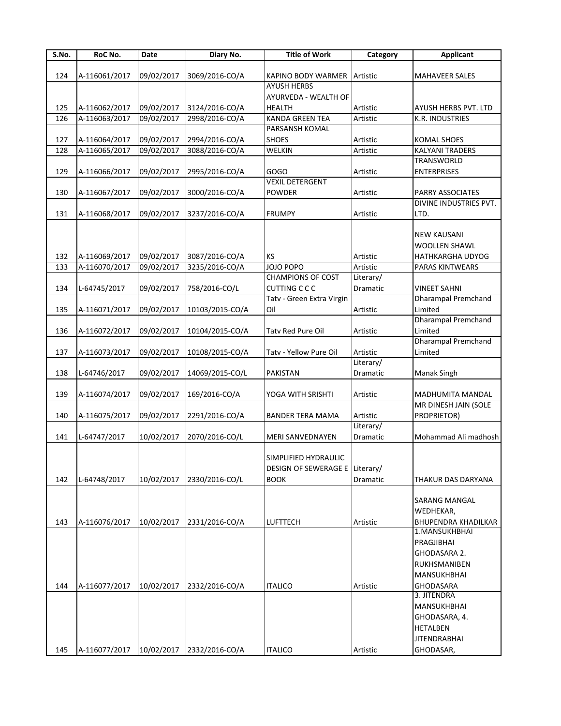| S.No. | RoC No.       | Date       | Diary No.       | <b>Title of Work</b>           | Category  | <b>Applicant</b>           |
|-------|---------------|------------|-----------------|--------------------------------|-----------|----------------------------|
|       |               |            |                 |                                |           |                            |
| 124   | A-116061/2017 | 09/02/2017 | 3069/2016-CO/A  | KAPINO BODY WARMER Artistic    |           | <b>MAHAVEER SALES</b>      |
|       |               |            |                 | <b>AYUSH HERBS</b>             |           |                            |
|       |               |            |                 | AYURVEDA - WEALTH OF           |           |                            |
| 125   | A-116062/2017 | 09/02/2017 | 3124/2016-CO/A  | HEALTH                         | Artistic  | AYUSH HERBS PVT. LTD       |
| 126   | A-116063/2017 | 09/02/2017 | 2998/2016-CO/A  | <b>KANDA GREEN TEA</b>         | Artistic  | K.R. INDUSTRIES            |
|       |               |            |                 | PARSANSH KOMAL                 |           |                            |
| 127   | A-116064/2017 | 09/02/2017 | 2994/2016-CO/A  | <b>SHOES</b>                   | Artistic  | <b>KOMAL SHOES</b>         |
| 128   | A-116065/2017 | 09/02/2017 | 3088/2016-CO/A  | WELKIN                         | Artistic  | <b>KALYANI TRADERS</b>     |
|       |               |            |                 |                                |           | TRANSWORLD                 |
| 129   | A-116066/2017 | 09/02/2017 | 2995/2016-CO/A  | GOGO                           | Artistic  | <b>ENTERPRISES</b>         |
|       |               |            |                 | <b>VEXIL DETERGENT</b>         |           |                            |
| 130   | A-116067/2017 | 09/02/2017 | 3000/2016-CO/A  | <b>POWDER</b>                  | Artistic  | PARRY ASSOCIATES           |
|       |               |            |                 |                                |           | DIVINE INDUSTRIES PVT.     |
| 131   | A-116068/2017 | 09/02/2017 | 3237/2016-CO/A  | <b>FRUMPY</b>                  | Artistic  | LTD.                       |
|       |               |            |                 |                                |           |                            |
|       |               |            |                 |                                |           | <b>NEW KAUSANI</b>         |
|       |               |            |                 |                                |           | <b>WOOLLEN SHAWL</b>       |
| 132   | A-116069/2017 | 09/02/2017 | 3087/2016-CO/A  | KS                             | Artistic  | HATHKARGHA UDYOG           |
| 133   | A-116070/2017 | 09/02/2017 | 3235/2016-CO/A  | JOJO POPO                      | Artistic  | <b>PARAS KINTWEARS</b>     |
|       |               |            |                 | <b>CHAMPIONS OF COST</b>       | Literary/ |                            |
| 134   | L-64745/2017  | 09/02/2017 | 758/2016-CO/L   | <b>CUTTING C C C</b>           | Dramatic  | <b>VINEET SAHNI</b>        |
|       |               |            |                 | Tatv - Green Extra Virgin      |           | Dharampal Premchand        |
| 135   | A-116071/2017 | 09/02/2017 | 10103/2015-CO/A | Oil                            | Artistic  | Limited                    |
|       |               |            |                 |                                |           | <b>Dharampal Premchand</b> |
| 136   | A-116072/2017 | 09/02/2017 | 10104/2015-CO/A | Tatv Red Pure Oil              | Artistic  | Limited                    |
|       |               |            |                 |                                |           | <b>Dharampal Premchand</b> |
| 137   | A-116073/2017 | 09/02/2017 | 10108/2015-CO/A | Tatv - Yellow Pure Oil         | Artistic  | Limited                    |
|       |               |            |                 |                                | Literary/ |                            |
| 138   | L-64746/2017  | 09/02/2017 | 14069/2015-CO/L | PAKISTAN                       | Dramatic  | <b>Manak Singh</b>         |
|       |               |            |                 |                                |           |                            |
| 139   | A-116074/2017 | 09/02/2017 | 169/2016-CO/A   | YOGA WITH SRISHTI              | Artistic  | MADHUMITA MANDAL           |
|       |               |            |                 |                                |           | MR DINESH JAIN (SOLE       |
| 140   | A-116075/2017 | 09/02/2017 | 2291/2016-CO/A  | <b>BANDER TERA MAMA</b>        | Artistic  | PROPRIETOR)                |
|       |               |            |                 |                                | Literary/ |                            |
| 141   | L-64747/2017  | 10/02/2017 | 2070/2016-CO/L  | <b>MERI SANVEDNAYEN</b>        | Dramatic  | Mohammad Ali madhosh       |
|       |               |            |                 |                                |           |                            |
|       |               |            |                 | SIMPLIFIED HYDRAULIC           |           |                            |
|       |               |            |                 | DESIGN OF SEWERAGE E Literary/ |           |                            |
| 142   | L-64748/2017  | 10/02/2017 | 2330/2016-CO/L  | <b>BOOK</b>                    | Dramatic  | THAKUR DAS DARYANA         |
|       |               |            |                 |                                |           |                            |
|       |               |            |                 |                                |           | SARANG MANGAL              |
|       |               |            |                 |                                |           | WEDHEKAR,                  |
| 143   | A-116076/2017 | 10/02/2017 | 2331/2016-CO/A  | <b>LUFTTECH</b>                | Artistic  | <b>BHUPENDRA KHADILKAR</b> |
|       |               |            |                 |                                |           | 1.MANSUKHBHAI              |
|       |               |            |                 |                                |           | PRAGJIBHAI                 |
|       |               |            |                 |                                |           | GHODASARA 2.               |
|       |               |            |                 |                                |           | RUKHSMANIBEN               |
|       |               |            |                 |                                |           | <b>MANSUKHBHAI</b>         |
| 144   | A-116077/2017 | 10/02/2017 | 2332/2016-CO/A  | <b>ITALICO</b>                 | Artistic  | <b>GHODASARA</b>           |
|       |               |            |                 |                                |           | 3. JITENDRA                |
|       |               |            |                 |                                |           | MANSUKHBHAI                |
|       |               |            |                 |                                |           | GHODASARA, 4.              |
|       |               |            |                 |                                |           | <b>HETALBEN</b>            |
|       |               |            |                 |                                |           | <b>JITENDRABHAI</b>        |
| 145   | A-116077/2017 | 10/02/2017 | 2332/2016-CO/A  | <b>ITALICO</b>                 | Artistic  | GHODASAR,                  |
|       |               |            |                 |                                |           |                            |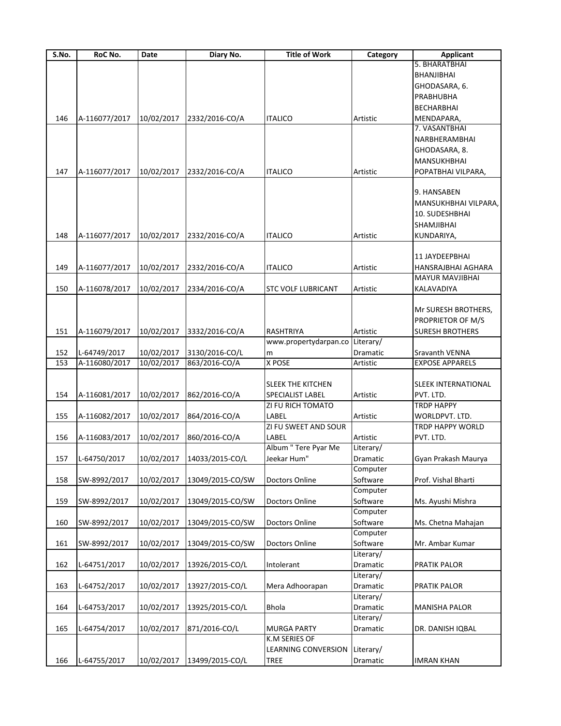| S.No. | RoC No.       | Date       | Diary No.                  | <b>Title of Work</b>      | Category  | <b>Applicant</b>           |
|-------|---------------|------------|----------------------------|---------------------------|-----------|----------------------------|
|       |               |            |                            |                           |           | 5. BHARATBHAI              |
|       |               |            |                            |                           |           | <b>BHANJIBHAI</b>          |
|       |               |            |                            |                           |           | GHODASARA, 6.              |
|       |               |            |                            |                           |           | PRABHUBHA                  |
|       |               |            |                            |                           |           | <b>BECHARBHAI</b>          |
| 146   | A-116077/2017 | 10/02/2017 | 2332/2016-CO/A             | <b>ITALICO</b>            | Artistic  | MENDAPARA,                 |
|       |               |            |                            |                           |           | 7. VASANTBHAI              |
|       |               |            |                            |                           |           | NARBHERAMBHAI              |
|       |               |            |                            |                           |           | GHODASARA, 8.              |
|       |               |            |                            |                           |           |                            |
|       |               |            |                            |                           |           | MANSUKHBHAI                |
| 147   | A-116077/2017 | 10/02/2017 | 2332/2016-CO/A             | ITALICO                   | Artistic  | POPATBHAI VILPARA,         |
|       |               |            |                            |                           |           |                            |
|       |               |            |                            |                           |           | 9. HANSABEN                |
|       |               |            |                            |                           |           | MANSUKHBHAI VILPARA,       |
|       |               |            |                            |                           |           | 10. SUDESHBHAI             |
|       |               |            |                            |                           |           | SHAMJIBHAI                 |
| 148   | A-116077/2017 | 10/02/2017 | 2332/2016-CO/A             | <b>ITALICO</b>            | Artistic  | KUNDARIYA,                 |
|       |               |            |                            |                           |           |                            |
|       |               |            |                            |                           |           | 11 JAYDEEPBHAI             |
| 149   | A-116077/2017 | 10/02/2017 | 2332/2016-CO/A             | <b>ITALICO</b>            | Artistic  | HANSRAJBHAI AGHARA         |
|       |               |            |                            |                           |           | <b>MAYUR MAVJIBHAI</b>     |
| 150   | A-116078/2017 | 10/02/2017 | 2334/2016-CO/A             | <b>STC VOLF LUBRICANT</b> | Artistic  | KALAVADIYA                 |
|       |               |            |                            |                           |           |                            |
|       |               |            |                            |                           |           | Mr SURESH BROTHERS,        |
|       |               |            |                            |                           |           |                            |
|       |               |            |                            |                           |           | PROPRIETOR OF M/S          |
| 151   | A-116079/2017 | 10/02/2017 | 3332/2016-CO/A             | RASHTRIYA                 | Artistic  | <b>SURESH BROTHERS</b>     |
|       |               |            |                            | www.propertydarpan.co     | Literary/ |                            |
| 152   | L-64749/2017  | 10/02/2017 | 3130/2016-CO/L             | m                         | Dramatic  | Sravanth VENNA             |
| 153   | A-116080/2017 | 10/02/2017 | 863/2016-CO/A              | X POSE                    | Artistic  | <b>EXPOSE APPARELS</b>     |
|       |               |            |                            |                           |           |                            |
|       |               |            |                            | <b>SLEEK THE KITCHEN</b>  |           | <b>SLEEK INTERNATIONAL</b> |
| 154   | A-116081/2017 | 10/02/2017 | 862/2016-CO/A              | SPECIALIST LABEL          | Artistic  | PVT. LTD.                  |
|       |               |            |                            | ZI FU RICH TOMATO         |           | <b>TRDP HAPPY</b>          |
| 155   | A-116082/2017 | 10/02/2017 | 864/2016-CO/A              | LABEL                     | Artistic  | WORLDPVT. LTD.             |
|       |               |            |                            | ZI FU SWEET AND SOUR      |           | TRDP HAPPY WORLD           |
| 156   | A-116083/2017 | 10/02/2017 | 860/2016-CO/A              | LABEL                     | Artistic  | PVT. LTD.                  |
|       |               |            |                            | Album " Tere Pyar Me      | Literary/ |                            |
| 157   | L-64750/2017  |            | 10/02/2017 14033/2015-CO/L | Jeekar Hum"               | Dramatic  | Gyan Prakash Maurya        |
|       |               |            |                            |                           | Computer  |                            |
|       |               |            |                            |                           |           |                            |
| 158   | SW-8992/2017  | 10/02/2017 | 13049/2015-CO/SW           | Doctors Online            | Software  | Prof. Vishal Bharti        |
|       |               |            |                            |                           | Computer  |                            |
| 159   | SW-8992/2017  | 10/02/2017 | 13049/2015-CO/SW           | Doctors Online            | Software  | Ms. Ayushi Mishra          |
|       |               |            |                            |                           | Computer  |                            |
| 160   | SW-8992/2017  | 10/02/2017 | 13049/2015-CO/SW           | Doctors Online            | Software  | Ms. Chetna Mahajan         |
|       |               |            |                            |                           | Computer  |                            |
| 161   | SW-8992/2017  | 10/02/2017 | 13049/2015-CO/SW           | Doctors Online            | Software  | Mr. Ambar Kumar            |
|       |               |            |                            |                           | Literary/ |                            |
| 162   | L-64751/2017  | 10/02/2017 | 13926/2015-CO/L            | Intolerant                | Dramatic  | PRATIK PALOR               |
|       |               |            |                            |                           | Literary/ |                            |
| 163   | L-64752/2017  | 10/02/2017 | 13927/2015-CO/L            | Mera Adhoorapan           | Dramatic  | PRATIK PALOR               |
|       |               |            |                            |                           | Literary/ |                            |
| 164   | L-64753/2017  | 10/02/2017 | 13925/2015-CO/L            | <b>Bhola</b>              | Dramatic  | <b>MANISHA PALOR</b>       |
|       |               |            |                            |                           | Literary/ |                            |
|       |               |            |                            |                           |           |                            |
| 165   | L-64754/2017  | 10/02/2017 | 871/2016-CO/L              | <b>MURGA PARTY</b>        | Dramatic  | DR. DANISH IQBAL           |
|       |               |            |                            | K.M SERIES OF             |           |                            |
|       |               |            |                            | LEARNING CONVERSION       | Literary/ |                            |
| 166   | L-64755/2017  | 10/02/2017 | 13499/2015-CO/L            | <b>TREE</b>               | Dramatic  | IMRAN KHAN                 |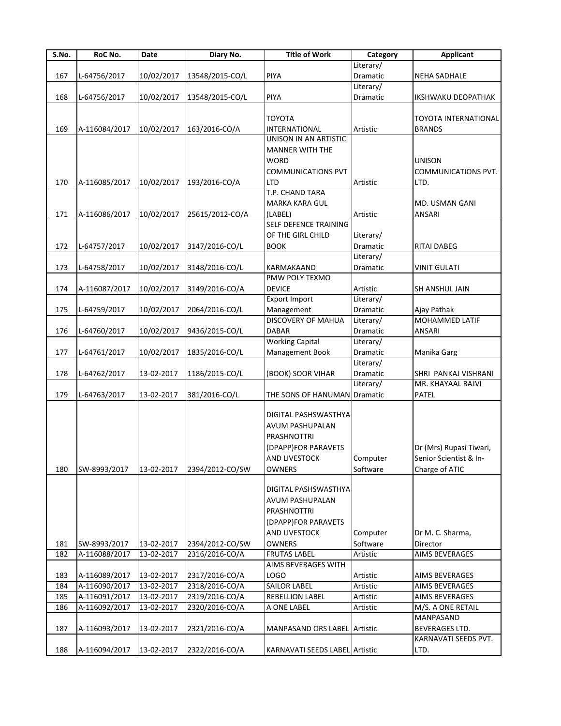| S.No. | RoC No.       | Date       | Diary No.       | <b>Title of Work</b>           | Category        | <b>Applicant</b>            |
|-------|---------------|------------|-----------------|--------------------------------|-----------------|-----------------------------|
|       |               |            |                 |                                | Literary/       |                             |
| 167   | L-64756/2017  | 10/02/2017 | 13548/2015-CO/L | <b>PIYA</b>                    | Dramatic        | <b>NEHA SADHALE</b>         |
|       |               |            |                 |                                | Literary/       |                             |
| 168   | L-64756/2017  | 10/02/2017 | 13548/2015-CO/L | PIYA                           | Dramatic        | <b>IKSHWAKU DEOPATHAK</b>   |
|       |               |            |                 |                                |                 |                             |
|       |               |            |                 | <b>TOYOTA</b>                  |                 | <b>TOYOTA INTERNATIONAL</b> |
| 169   | A-116084/2017 | 10/02/2017 | 163/2016-CO/A   | INTERNATIONAL                  | Artistic        | <b>BRANDS</b>               |
|       |               |            |                 | UNISON IN AN ARTISTIC          |                 |                             |
|       |               |            |                 | <b>MANNER WITH THE</b>         |                 |                             |
|       |               |            |                 | <b>WORD</b>                    |                 | <b>UNISON</b>               |
|       |               |            |                 | <b>COMMUNICATIONS PVT</b>      |                 | <b>COMMUNICATIONS PVT.</b>  |
| 170   | A-116085/2017 | 10/02/2017 | 193/2016-CO/A   | LTD                            | Artistic        | LTD.                        |
|       |               |            |                 | T.P. CHAND TARA                |                 |                             |
|       |               |            |                 | MARKA KARA GUL                 |                 | MD. USMAN GANI              |
| 171   | A-116086/2017 | 10/02/2017 | 25615/2012-CO/A | (LABEL)                        | Artistic        | ANSARI                      |
|       |               |            |                 | SELF DEFENCE TRAINING          |                 |                             |
|       |               |            |                 |                                |                 |                             |
|       |               |            |                 | OF THE GIRL CHILD              | Literary/       |                             |
| 172   | L-64757/2017  | 10/02/2017 | 3147/2016-CO/L  | <b>BOOK</b>                    | <b>Dramatic</b> | RITAI DABEG                 |
|       |               |            |                 |                                | Literary/       |                             |
| 173   | L-64758/2017  | 10/02/2017 | 3148/2016-CO/L  | KARMAKAAND                     | Dramatic        | <b>VINIT GULATI</b>         |
|       |               |            |                 | PMW POLY TEXMO                 |                 |                             |
| 174   | A-116087/2017 | 10/02/2017 | 3149/2016-CO/A  | <b>DEVICE</b>                  | Artistic        | SH ANSHUL JAIN              |
|       |               |            |                 | <b>Export Import</b>           | Literary/       |                             |
| 175   | L-64759/2017  | 10/02/2017 | 2064/2016-CO/L  | Management                     | Dramatic        | Ajay Pathak                 |
|       |               |            |                 | <b>DISCOVERY OF MAHUA</b>      | Literary/       | <b>MOHAMMED LATIF</b>       |
| 176   | L-64760/2017  | 10/02/2017 | 9436/2015-CO/L  | <b>DABAR</b>                   | Dramatic        | ANSARI                      |
|       |               |            |                 | <b>Working Capital</b>         | Literary/       |                             |
| 177   | L-64761/2017  | 10/02/2017 | 1835/2016-CO/L  | Management Book                | Dramatic        | Manika Garg                 |
|       |               |            |                 |                                | Literary/       |                             |
| 178   | L-64762/2017  | 13-02-2017 | 1186/2015-CO/L  | (BOOK) SOOR VIHAR              | Dramatic        | SHRI PANKAJ VISHRANI        |
|       |               |            |                 |                                | Literary/       | MR. KHAYAAL RAJVI           |
| 179   | L-64763/2017  | 13-02-2017 | 381/2016-CO/L   | THE SONS OF HANUMAN Dramatic   |                 | PATEL                       |
|       |               |            |                 |                                |                 |                             |
|       |               |            |                 | DIGITAL PASHSWASTHYA           |                 |                             |
|       |               |            |                 | AVUM PASHUPALAN                |                 |                             |
|       |               |            |                 | <b>PRASHNOTTRI</b>             |                 |                             |
|       |               |            |                 |                                |                 |                             |
|       |               |            |                 | (DPAPP)FOR PARAVETS            |                 | Dr (Mrs) Rupasi Tiwari,     |
|       |               |            |                 | AND LIVESTOCK                  | Computer        | Senior Scientist & In-      |
| 180   | SW-8993/2017  | 13-02-2017 | 2394/2012-CO/SW | <b>OWNERS</b>                  | Software        | Charge of ATIC              |
|       |               |            |                 |                                |                 |                             |
|       |               |            |                 | DIGITAL PASHSWASTHYA           |                 |                             |
|       |               |            |                 | AVUM PASHUPALAN                |                 |                             |
|       |               |            |                 | PRASHNOTTRI                    |                 |                             |
|       |               |            |                 | (DPAPP)FOR PARAVETS            |                 |                             |
|       |               |            |                 | AND LIVESTOCK                  | Computer        | Dr M. C. Sharma,            |
| 181   | SW-8993/2017  | 13-02-2017 | 2394/2012-CO/SW | <b>OWNERS</b>                  | Software        | Director                    |
| 182   | A-116088/2017 | 13-02-2017 | 2316/2016-CO/A  | <b>FRUTAS LABEL</b>            | Artistic        | AIMS BEVERAGES              |
|       |               |            |                 | AIMS BEVERAGES WITH            |                 |                             |
| 183   | A-116089/2017 | 13-02-2017 | 2317/2016-CO/A  | LOGO                           | Artistic        | AIMS BEVERAGES              |
| 184   | A-116090/2017 | 13-02-2017 | 2318/2016-CO/A  | <b>SAILOR LABEL</b>            | Artistic        | AIMS BEVERAGES              |
| 185   | A-116091/2017 | 13-02-2017 | 2319/2016-CO/A  | <b>REBELLION LABEL</b>         | Artistic        | AIMS BEVERAGES              |
| 186   | A-116092/2017 | 13-02-2017 | 2320/2016-CO/A  | A ONE LABEL                    | Artistic        | M/S. A ONE RETAIL           |
|       |               |            |                 |                                |                 | MANPASAND                   |
|       |               |            |                 |                                |                 |                             |
| 187   | A-116093/2017 | 13-02-2017 | 2321/2016-CO/A  | MANPASAND ORS LABEL Artistic   |                 | BEVERAGES LTD.              |
|       |               |            |                 |                                |                 | KARNAVATI SEEDS PVT.        |
| 188   | A-116094/2017 | 13-02-2017 | 2322/2016-CO/A  | KARNAVATI SEEDS LABEL Artistic |                 | LTD.                        |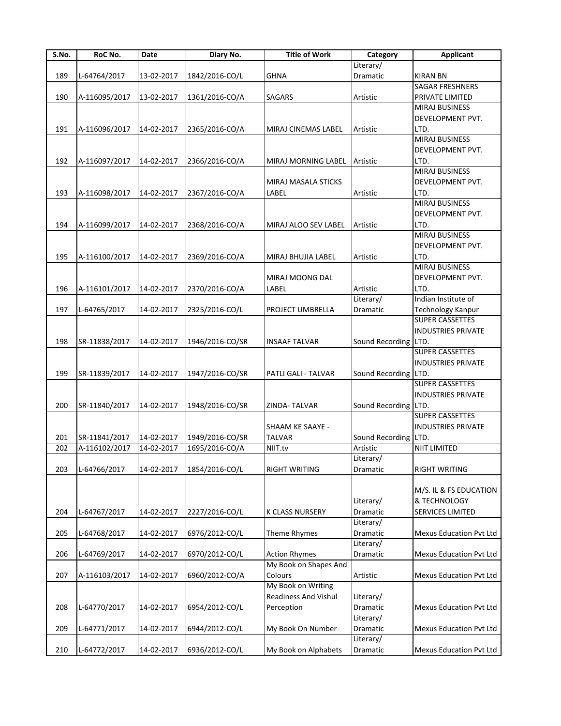| S.No. | RoC No.       | Date       | Diary No.       | <b>Title of Work</b>   | Category             | <b>Applicant</b>          |
|-------|---------------|------------|-----------------|------------------------|----------------------|---------------------------|
|       |               |            |                 |                        | Literary/            |                           |
| 189   | L-64764/2017  | 13-02-2017 | 1842/2016-CO/L  | <b>GHNA</b>            | Dramatic             | <b>KIRAN BN</b>           |
|       |               |            |                 |                        |                      | SAGAR FRESHNERS           |
| 190   | A-116095/2017 | 13-02-2017 | 1361/2016-CO/A  | <b>SAGARS</b>          | Artistic             | PRIVATE LIMITED           |
|       |               |            |                 |                        |                      | <b>MIRAJ BUSINESS</b>     |
|       |               |            |                 |                        |                      | DEVELOPMENT PVT.          |
|       |               |            |                 |                        |                      |                           |
| 191   | A-116096/2017 | 14-02-2017 | 2365/2016-CO/A  | MIRAJ CINEMAS LABEL    | Artistic             | LTD.                      |
|       |               |            |                 |                        |                      | <b>MIRAJ BUSINESS</b>     |
|       |               |            |                 |                        |                      | DEVELOPMENT PVT.          |
| 192   | A-116097/2017 | 14-02-2017 | 2366/2016-CO/A  | MIRAJ MORNING LABEL    | Artistic             | LTD.                      |
|       |               |            |                 |                        |                      | <b>MIRAJ BUSINESS</b>     |
|       |               |            |                 | MIRAJ MASALA STICKS    |                      | DEVELOPMENT PVT.          |
| 193   | A-116098/2017 | 14-02-2017 | 2367/2016-CO/A  | LABEL                  | Artistic             | LTD.                      |
|       |               |            |                 |                        |                      | MIRAJ BUSINESS            |
|       |               |            |                 |                        |                      |                           |
|       |               |            |                 |                        |                      | DEVELOPMENT PVT.          |
| 194   | A-116099/2017 | 14-02-2017 | 2368/2016-CO/A  | MIRAJ ALOO SEV LABEL   | Artistic             | LTD.                      |
|       |               |            |                 |                        |                      | <b>MIRAJ BUSINESS</b>     |
|       |               |            |                 |                        |                      | DEVELOPMENT PVT.          |
| 195   | A-116100/2017 | 14-02-2017 | 2369/2016-CO/A  | MIRAJ BHUJIA LABEL     | Artistic             | LTD.                      |
|       |               |            |                 |                        |                      | <b>MIRAJ BUSINESS</b>     |
|       |               |            |                 | <b>MIRAJ MOONG DAL</b> |                      | DEVELOPMENT PVT.          |
| 196   | A-116101/2017 | 14-02-2017 | 2370/2016-CO/A  | LABEL                  | Artistic             | LTD.                      |
|       |               |            |                 |                        | Literary/            | Indian Institute of       |
|       |               |            |                 |                        |                      |                           |
| 197   | L-64765/2017  | 14-02-2017 | 2325/2016-CO/L  | PROJECT UMBRELLA       | Dramatic             | Technology Kanpur         |
|       |               |            |                 |                        |                      | <b>SUPER CASSETTES</b>    |
|       |               |            |                 |                        |                      | <b>INDUSTRIES PRIVATE</b> |
| 198   | SR-11838/2017 | 14-02-2017 | 1946/2016-CO/SR | <b>INSAAF TALVAR</b>   | Sound Recording LTD. |                           |
|       |               |            |                 |                        |                      | <b>SUPER CASSETTES</b>    |
|       |               |            |                 |                        |                      | <b>INDUSTRIES PRIVATE</b> |
| 199   | SR-11839/2017 | 14-02-2017 | 1947/2016-CO/SR | PATLI GALI - TALVAR    | Sound Recording LTD. |                           |
|       |               |            |                 |                        |                      | <b>SUPER CASSETTES</b>    |
|       |               |            |                 |                        |                      |                           |
|       |               |            |                 |                        |                      | <b>INDUSTRIES PRIVATE</b> |
| 200   | SR-11840/2017 | 14-02-2017 | 1948/2016-CO/SR | ZINDA-TALVAR           | Sound Recording      | LTD.                      |
|       |               |            |                 |                        |                      | <b>SUPER CASSETTES</b>    |
|       |               |            |                 | SHAAM KE SAAYE -       |                      | <b>INDUSTRIES PRIVATE</b> |
| 201   | SR-11841/2017 | 14-02-2017 | 1949/2016-CO/SR | <b>TALVAR</b>          | Sound Recording LTD. |                           |
| 202   | A-116102/2017 | 14-02-2017 | 1695/2016-CO/A  | NIIT.tv                | Artistic             | <b>NIIT LIMITED</b>       |
|       |               |            |                 |                        | Literary/            |                           |
| 203   | L-64766/2017  | 14-02-2017 | 1854/2016-CO/L  | <b>RIGHT WRITING</b>   | Dramatic             | <b>RIGHT WRITING</b>      |
|       |               |            |                 |                        |                      |                           |
|       |               |            |                 |                        |                      |                           |
|       |               |            |                 |                        |                      | M/S. IL & FS EDUCATION    |
|       |               |            |                 |                        | Literary/            | & TECHNOLOGY              |
| 204   | L-64767/2017  | 14-02-2017 | 2227/2016-CO/L  | K CLASS NURSERY        | Dramatic             | SERVICES LIMITED          |
|       |               |            |                 |                        | Literary/            |                           |
| 205   | L-64768/2017  | 14-02-2017 | 6976/2012-CO/L  | Theme Rhymes           | Dramatic             | Mexus Education Pvt Ltd   |
|       |               |            |                 |                        | Literary/            |                           |
| 206   | L-64769/2017  |            | 6970/2012-CO/L  | <b>Action Rhymes</b>   |                      | Mexus Education Pvt Ltd   |
|       |               | 14-02-2017 |                 |                        | Dramatic             |                           |
|       |               |            |                 | My Book on Shapes And  |                      |                           |
| 207   | A-116103/2017 | 14-02-2017 | 6960/2012-CO/A  | Colours                | Artistic             | Mexus Education Pvt Ltd   |
|       |               |            |                 | My Book on Writing     |                      |                           |
|       |               |            |                 | Readiness And Vishul   | Literary/            |                           |
| 208   | L-64770/2017  | 14-02-2017 | 6954/2012-CO/L  | Perception             | Dramatic             | Mexus Education Pvt Ltd   |
|       |               |            |                 |                        | Literary/            |                           |
|       |               |            |                 |                        |                      |                           |
| 209   | L-64771/2017  | 14-02-2017 | 6944/2012-CO/L  | My Book On Number      | Dramatic             | Mexus Education Pvt Ltd   |
|       |               |            |                 |                        | Literary/            |                           |
| 210   | L-64772/2017  | 14-02-2017 | 6936/2012-CO/L  | My Book on Alphabets   | Dramatic             | Mexus Education Pvt Ltd   |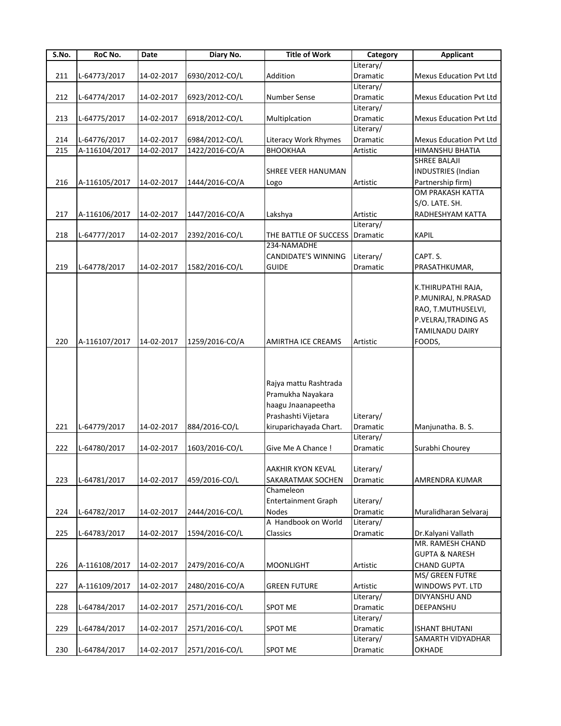| S.No. | RoC No.       | Date       | Diary No.      | <b>Title of Work</b>                                                                                              | Category              | <b>Applicant</b>                                                                                                     |
|-------|---------------|------------|----------------|-------------------------------------------------------------------------------------------------------------------|-----------------------|----------------------------------------------------------------------------------------------------------------------|
|       |               |            |                |                                                                                                                   | Literary/             |                                                                                                                      |
| 211   | L-64773/2017  | 14-02-2017 | 6930/2012-CO/L | Addition                                                                                                          | Dramatic              | Mexus Education Pvt Ltd                                                                                              |
|       |               |            |                |                                                                                                                   | Literary/             |                                                                                                                      |
| 212   | L-64774/2017  | 14-02-2017 | 6923/2012-CO/L | <b>Number Sense</b>                                                                                               | Dramatic              | <b>Mexus Education Pvt Ltd</b>                                                                                       |
|       |               |            |                |                                                                                                                   | Literary/             |                                                                                                                      |
| 213   | L-64775/2017  | 14-02-2017 | 6918/2012-CO/L | Multiplcation                                                                                                     | Dramatic              | <b>Mexus Education Pvt Ltd</b>                                                                                       |
|       |               |            |                |                                                                                                                   | Literary/             |                                                                                                                      |
| 214   | L-64776/2017  | 14-02-2017 | 6984/2012-CO/L | Literacy Work Rhymes                                                                                              | Dramatic              | <b>Mexus Education Pvt Ltd</b>                                                                                       |
| 215   | A-116104/2017 | 14-02-2017 | 1422/2016-CO/A | ВНООКНАА                                                                                                          | Artistic              | HIMANSHU BHATIA                                                                                                      |
|       |               |            |                |                                                                                                                   |                       | <b>SHREE BALAJI</b>                                                                                                  |
|       |               |            |                | SHREE VEER HANUMAN                                                                                                |                       | <b>INDUSTRIES</b> (Indian                                                                                            |
| 216   | A-116105/2017 | 14-02-2017 | 1444/2016-CO/A |                                                                                                                   | Artistic              | Partnership firm)                                                                                                    |
|       |               |            |                | Logo                                                                                                              |                       | <b>OM PRAKASH KATTA</b>                                                                                              |
|       |               |            |                |                                                                                                                   |                       |                                                                                                                      |
|       |               |            |                |                                                                                                                   |                       | S/O. LATE. SH.                                                                                                       |
| 217   | A-116106/2017 | 14-02-2017 | 1447/2016-CO/A | Lakshya                                                                                                           | Artistic              | RADHESHYAM KATTA                                                                                                     |
|       |               |            |                |                                                                                                                   | Literary/             |                                                                                                                      |
| 218   | L-64777/2017  | 14-02-2017 | 2392/2016-CO/L | THE BATTLE OF SUCCESS Dramatic                                                                                    |                       | <b>KAPIL</b>                                                                                                         |
|       |               |            |                | 234-NAMADHE                                                                                                       |                       |                                                                                                                      |
|       |               |            |                | <b>CANDIDATE'S WINNING</b>                                                                                        | Literary/             | CAPT. S.                                                                                                             |
| 219   | L-64778/2017  | 14-02-2017 | 1582/2016-CO/L | <b>GUIDE</b>                                                                                                      | Dramatic              | PRASATHKUMAR,                                                                                                        |
| 220   | A-116107/2017 | 14-02-2017 | 1259/2016-CO/A | <b>AMIRTHA ICE CREAMS</b>                                                                                         | Artistic              | K.THIRUPATHI RAJA,<br>P.MUNIRAJ, N.PRASAD<br>RAO, T.MUTHUSELVI,<br>P.VELRAJ, TRADING AS<br>TAMILNADU DAIRY<br>FOODS, |
| 221   | L-64779/2017  | 14-02-2017 | 884/2016-CO/L  | Rajya mattu Rashtrada<br>Pramukha Nayakara<br>haagu Jnaanapeetha<br>Prashashti Vijetara<br>kiruparichayada Chart. | Literary/<br>Dramatic | Manjunatha. B. S.                                                                                                    |
|       |               |            |                |                                                                                                                   | Literary/             |                                                                                                                      |
| 222   | L-64780/2017  | 14-02-2017 | 1603/2016-CO/L | Give Me A Chance !                                                                                                | Dramatic              | Surabhi Chourey                                                                                                      |
| 223   | L-64781/2017  | 14-02-2017 | 459/2016-CO/L  | <b>AAKHIR KYON KEVAL</b><br>SAKARATMAK SOCHEN                                                                     | Literary/<br>Dramatic | AMRENDRA KUMAR                                                                                                       |
|       |               |            |                | Chameleon                                                                                                         |                       |                                                                                                                      |
|       |               |            |                | <b>Entertainment Graph</b>                                                                                        | Literary/             |                                                                                                                      |
| 224   | L-64782/2017  | 14-02-2017 | 2444/2016-CO/L | <b>Nodes</b>                                                                                                      | Dramatic              | Muralidharan Selvaraj                                                                                                |
|       |               |            |                | A Handbook on World                                                                                               |                       |                                                                                                                      |
|       |               |            |                |                                                                                                                   | Literary/             |                                                                                                                      |
| 225   | L-64783/2017  | 14-02-2017 | 1594/2016-CO/L | Classics                                                                                                          | Dramatic              | Dr.Kalyani Vallath                                                                                                   |
|       |               |            |                |                                                                                                                   |                       | MR. RAMESH CHAND                                                                                                     |
|       |               |            |                |                                                                                                                   |                       | <b>GUPTA &amp; NARESH</b>                                                                                            |
| 226   | A-116108/2017 | 14-02-2017 | 2479/2016-CO/A | <b>MOONLIGHT</b>                                                                                                  | Artistic              | <b>CHAND GUPTA</b>                                                                                                   |
|       |               |            |                |                                                                                                                   |                       | MS/ GREEN FUTRE                                                                                                      |
| 227   | A-116109/2017 | 14-02-2017 | 2480/2016-CO/A | <b>GREEN FUTURE</b>                                                                                               | Artistic              | WINDOWS PVT. LTD                                                                                                     |
|       |               |            |                |                                                                                                                   | Literary/             | DIVYANSHU AND                                                                                                        |
| 228   | L-64784/2017  | 14-02-2017 | 2571/2016-CO/L | <b>SPOT ME</b>                                                                                                    | Dramatic              | DEEPANSHU                                                                                                            |
|       |               |            |                |                                                                                                                   | Literary/             |                                                                                                                      |
| 229   | L-64784/2017  | 14-02-2017 | 2571/2016-CO/L | <b>SPOT ME</b>                                                                                                    | Dramatic              | <b>ISHANT BHUTANI</b>                                                                                                |
|       |               |            |                |                                                                                                                   | Literary/             | SAMARTH VIDYADHAR                                                                                                    |
| 230   | L-64784/2017  | 14-02-2017 | 2571/2016-CO/L | <b>SPOT ME</b>                                                                                                    | Dramatic              | OKHADE                                                                                                               |
|       |               |            |                |                                                                                                                   |                       |                                                                                                                      |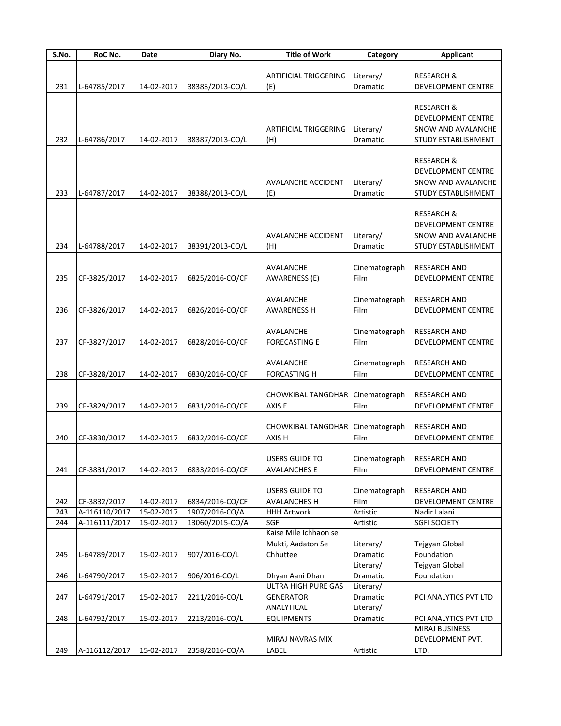| S.No. | RoC No.       | Date       | Diary No.       | <b>Title of Work</b>                                   | Category                           | <b>Applicant</b>                                                                                |
|-------|---------------|------------|-----------------|--------------------------------------------------------|------------------------------------|-------------------------------------------------------------------------------------------------|
|       |               |            |                 |                                                        |                                    |                                                                                                 |
|       |               |            |                 | <b>ARTIFICIAL TRIGGERING</b>                           | Literary/                          | <b>RESEARCH &amp;</b>                                                                           |
| 231   | L-64785/2017  | 14-02-2017 | 38383/2013-CO/L | (E)                                                    | Dramatic                           | DEVELOPMENT CENTRE                                                                              |
| 232   | L-64786/2017  | 14-02-2017 | 38387/2013-CO/L | <b>ARTIFICIAL TRIGGERING</b><br>(H)                    | Literary/<br>Dramatic              | <b>RESEARCH &amp;</b><br><b>DEVELOPMENT CENTRE</b><br>SNOW AND AVALANCHE<br>STUDY ESTABLISHMENT |
|       |               |            |                 |                                                        |                                    | <b>RESEARCH &amp;</b><br>DEVELOPMENT CENTRE                                                     |
| 233   | L-64787/2017  | 14-02-2017 | 38388/2013-CO/L | <b>AVALANCHE ACCIDENT</b><br>(E)                       | Literary/<br>Dramatic              | SNOW AND AVALANCHE<br>STUDY ESTABLISHMENT                                                       |
| 234   | L-64788/2017  | 14-02-2017 | 38391/2013-CO/L | <b>AVALANCHE ACCIDENT</b><br>(H)                       | Literary/<br>Dramatic              | <b>RESEARCH &amp;</b><br>DEVELOPMENT CENTRE<br>SNOW AND AVALANCHE<br>STUDY ESTABLISHMENT        |
| 235   | CF-3825/2017  | 14-02-2017 | 6825/2016-CO/CF | AVALANCHE<br>AWARENESS (E)                             | Cinematograph<br>Film              | <b>RESEARCH AND</b><br><b>DEVELOPMENT CENTRE</b>                                                |
| 236   | CF-3826/2017  | 14-02-2017 | 6826/2016-CO/CF | AVALANCHE<br><b>AWARENESS H</b>                        | Cinematograph<br>Film              | <b>RESEARCH AND</b><br><b>DEVELOPMENT CENTRE</b>                                                |
| 237   | CF-3827/2017  | 14-02-2017 | 6828/2016-CO/CF | AVALANCHE<br><b>FORECASTING E</b>                      | Cinematograph<br>Film              | RESEARCH AND<br>DEVELOPMENT CENTRE                                                              |
| 238   | CF-3828/2017  | 14-02-2017 | 6830/2016-CO/CF | AVALANCHE<br><b>FORCASTING H</b>                       | Cinematograph<br>Film              | RESEARCH AND<br>DEVELOPMENT CENTRE                                                              |
| 239   | CF-3829/2017  | 14-02-2017 | 6831/2016-CO/CF | CHOWKIBAL TANGDHAR<br>AXIS E                           | Cinematograph<br>Film              | RESEARCH AND<br>DEVELOPMENT CENTRE                                                              |
| 240   | CF-3830/2017  | 14-02-2017 | 6832/2016-CO/CF | <b>CHOWKIBAL TANGDHAR</b><br>AXIS H                    | Cinematograph<br>Film              | <b>RESEARCH AND</b><br>DEVELOPMENT CENTRE                                                       |
| 241   | CF-3831/2017  | 14-02-2017 | 6833/2016-CO/CF | USERS GUIDE TO<br><b>AVALANCHES E</b>                  | Cinematograph<br>Film              | <b>RESEARCH AND</b><br>DEVELOPMENT CENTRE                                                       |
| 242   | CF-3832/2017  | 14-02-2017 | 6834/2016-CO/CF | <b>USERS GUIDE TO</b><br><b>AVALANCHES H</b>           | Cinematograph<br>Film              | <b>RESEARCH AND</b><br>DEVELOPMENT CENTRE                                                       |
| 243   | A-116110/2017 | 15-02-2017 | 1907/2016-CO/A  | <b>HHH Artwork</b>                                     | Artistic                           | Nadir Lalani                                                                                    |
| 244   | A-116111/2017 | 15-02-2017 | 13060/2015-CO/A | SGFI                                                   | Artistic                           | <b>SGFI SOCIETY</b>                                                                             |
| 245   | L-64789/2017  | 15-02-2017 | 907/2016-CO/L   | Kaise Mile Ichhaon se<br>Mukti, Aadaton Se<br>Chhuttee | Literary/<br>Dramatic<br>Literary/ | Tejgyan Global<br>Foundation<br>Tejgyan Global                                                  |
| 246   | L-64790/2017  | 15-02-2017 | 906/2016-CO/L   | Dhyan Aani Dhan<br>ULTRA HIGH PURE GAS                 | Dramatic<br>Literary/              | Foundation                                                                                      |
| 247   | L-64791/2017  | 15-02-2017 | 2211/2016-CO/L  | <b>GENERATOR</b><br>ANALYTICAL                         | Dramatic<br>Literary/              | PCI ANALYTICS PVT LTD                                                                           |
| 248   | L-64792/2017  | 15-02-2017 | 2213/2016-CO/L  | <b>EQUIPMENTS</b>                                      | Dramatic                           | PCI ANALYTICS PVT LTD<br>MIRAJ BUSINESS                                                         |
| 249   | A-116112/2017 | 15-02-2017 | 2358/2016-CO/A  | MIRAJ NAVRAS MIX<br>LABEL                              | Artistic                           | DEVELOPMENT PVT.<br>LTD.                                                                        |
|       |               |            |                 |                                                        |                                    |                                                                                                 |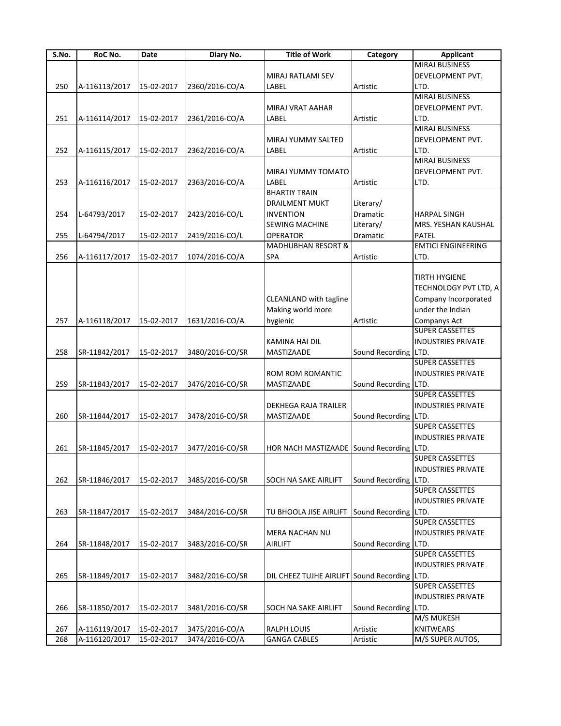| S.No. | RoC No.       | Date       | Diary No.       | <b>Title of Work</b>                         | Category             | <b>Applicant</b>          |
|-------|---------------|------------|-----------------|----------------------------------------------|----------------------|---------------------------|
|       |               |            |                 |                                              |                      | <b>MIRAJ BUSINESS</b>     |
|       |               |            |                 | MIRAJ RATLAMI SEV                            |                      | DEVELOPMENT PVT.          |
| 250   | A-116113/2017 | 15-02-2017 | 2360/2016-CO/A  | LABEL                                        | Artistic             | LTD.                      |
|       |               |            |                 |                                              |                      | <b>MIRAJ BUSINESS</b>     |
|       |               |            |                 | <b>MIRAJ VRAT AAHAR</b>                      |                      | DEVELOPMENT PVT.          |
| 251   | A-116114/2017 | 15-02-2017 | 2361/2016-CO/A  | LABEL                                        | Artistic             | LTD.                      |
|       |               |            |                 |                                              |                      | <b>MIRAJ BUSINESS</b>     |
|       |               |            |                 |                                              |                      |                           |
|       |               |            |                 | <b>MIRAJ YUMMY SALTED</b>                    |                      | DEVELOPMENT PVT.          |
| 252   | A-116115/2017 | 15-02-2017 | 2362/2016-CO/A  | LABEL                                        | Artistic             | LTD.                      |
|       |               |            |                 |                                              |                      | <b>MIRAJ BUSINESS</b>     |
|       |               |            |                 | MIRAJ YUMMY TOMATO                           |                      | DEVELOPMENT PVT.          |
| 253   | A-116116/2017 | 15-02-2017 | 2363/2016-CO/A  | LABEL                                        | Artistic             | LTD.                      |
|       |               |            |                 | <b>BHARTIY TRAIN</b>                         |                      |                           |
|       |               |            |                 | <b>DRAILMENT MUKT</b>                        | Literary/            |                           |
| 254   | L-64793/2017  | 15-02-2017 | 2423/2016-CO/L  | <b>INVENTION</b>                             | Dramatic             | HARPAL SINGH              |
|       |               |            |                 | <b>SEWING MACHINE</b>                        | Literary/            | MRS. YESHAN KAUSHAL       |
| 255   | L-64794/2017  | 15-02-2017 | 2419/2016-CO/L  | <b>OPERATOR</b>                              | Dramatic             | PATEL                     |
|       |               |            |                 | <b>MADHUBHAN RESORT &amp;</b>                |                      | <b>EMTICI ENGINEERING</b> |
| 256   | A-116117/2017 | 15-02-2017 | 1074/2016-CO/A  | <b>SPA</b>                                   | Artistic             | LTD.                      |
|       |               |            |                 |                                              |                      |                           |
|       |               |            |                 |                                              |                      | TIRTH HYGIENE             |
|       |               |            |                 |                                              |                      | TECHNOLOGY PVT LTD, A     |
|       |               |            |                 |                                              |                      |                           |
|       |               |            |                 | CLEANLAND with tagline                       |                      | Company Incorporated      |
|       |               |            |                 | Making world more                            |                      | under the Indian          |
| 257   | A-116118/2017 | 15-02-2017 | 1631/2016-CO/A  | hygienic                                     | Artistic             | Companys Act              |
|       |               |            |                 |                                              |                      | <b>SUPER CASSETTES</b>    |
|       |               |            |                 | KAMINA HAI DIL                               |                      | <b>INDUSTRIES PRIVATE</b> |
| 258   | SR-11842/2017 | 15-02-2017 | 3480/2016-CO/SR | MASTIZAADE                                   | Sound Recording LTD. |                           |
|       |               |            |                 |                                              |                      | <b>SUPER CASSETTES</b>    |
|       |               |            |                 | ROM ROM ROMANTIC                             |                      | <b>INDUSTRIES PRIVATE</b> |
| 259   | SR-11843/2017 | 15-02-2017 | 3476/2016-CO/SR | MASTIZAADE                                   | Sound Recording LTD. |                           |
|       |               |            |                 |                                              |                      | <b>SUPER CASSETTES</b>    |
|       |               |            |                 | DEKHEGA RAJA TRAILER                         |                      | <b>INDUSTRIES PRIVATE</b> |
| 260   |               |            |                 | <b>MASTIZAADE</b>                            | Sound Recording LTD. |                           |
|       | SR-11844/2017 | 15-02-2017 | 3478/2016-CO/SR |                                              |                      | <b>SUPER CASSETTES</b>    |
|       |               |            |                 |                                              |                      |                           |
|       |               |            |                 |                                              |                      | <b>INDUSTRIES PRIVATE</b> |
| 261   | SR-11845/2017 | 15-02-2017 | 3477/2016-CO/SR | HOR NACH MASTIZAADE Sound Recording LTD.     |                      |                           |
|       |               |            |                 |                                              |                      | <b>SUPER CASSETTES</b>    |
|       |               |            |                 |                                              |                      | <b>INDUSTRIES PRIVATE</b> |
| 262   | SR-11846/2017 | 15-02-2017 | 3485/2016-CO/SR | <b>SOCH NA SAKE AIRLIFT</b>                  | Sound Recording      | LTD.                      |
|       |               |            |                 |                                              |                      | <b>SUPER CASSETTES</b>    |
|       |               |            |                 |                                              |                      | <b>INDUSTRIES PRIVATE</b> |
| 263   | SR-11847/2017 | 15-02-2017 | 3484/2016-CO/SR | TU BHOOLA JISE AIRLIFT                       | Sound Recording LTD. |                           |
|       |               |            |                 |                                              |                      | SUPER CASSETTES           |
|       |               |            |                 | MERA NACHAN NU                               |                      | <b>INDUSTRIES PRIVATE</b> |
| 264   | SR-11848/2017 | 15-02-2017 | 3483/2016-CO/SR | <b>AIRLIFT</b>                               | Sound Recording LTD. |                           |
|       |               |            |                 |                                              |                      | <b>SUPER CASSETTES</b>    |
|       |               |            |                 |                                              |                      | <b>INDUSTRIES PRIVATE</b> |
|       |               |            |                 |                                              |                      |                           |
| 265   | SR-11849/2017 | 15-02-2017 | 3482/2016-CO/SR | DIL CHEEZ TUJHE AIRLIFT Sound Recording LTD. |                      |                           |
|       |               |            |                 |                                              |                      | <b>SUPER CASSETTES</b>    |
|       |               |            |                 |                                              |                      | <b>INDUSTRIES PRIVATE</b> |
| 266   | SR-11850/2017 | 15-02-2017 | 3481/2016-CO/SR | <b>SOCH NA SAKE AIRLIFT</b>                  | Sound Recording LTD. |                           |
|       |               |            |                 |                                              |                      | M/S MUKESH                |
| 267   | A-116119/2017 | 15-02-2017 | 3475/2016-CO/A  | <b>RALPH LOUIS</b>                           | Artistic             | <b>KNITWEARS</b>          |
| 268   | A-116120/2017 | 15-02-2017 | 3474/2016-CO/A  | <b>GANGA CABLES</b>                          | Artistic             | M/S SUPER AUTOS,          |
|       |               |            |                 |                                              |                      |                           |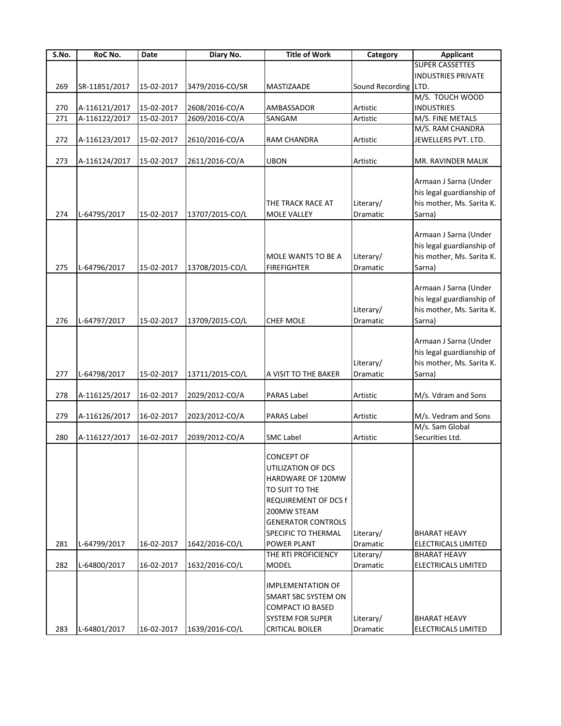| S.No. | RoC No.       | Date       | Diary No.       | <b>Title of Work</b>        | Category             | <b>Applicant</b>           |
|-------|---------------|------------|-----------------|-----------------------------|----------------------|----------------------------|
|       |               |            |                 |                             |                      | <b>SUPER CASSETTES</b>     |
|       |               |            |                 |                             |                      | <b>INDUSTRIES PRIVATE</b>  |
| 269   | SR-11851/2017 | 15-02-2017 | 3479/2016-CO/SR | MASTIZAADE                  | Sound Recording LTD. |                            |
|       |               |            |                 |                             |                      | M/S. TOUCH WOOD            |
| 270   | A-116121/2017 | 15-02-2017 | 2608/2016-CO/A  | AMBASSADOR                  | Artistic             | <b>INDUSTRIES</b>          |
| 271   | A-116122/2017 | 15-02-2017 | 2609/2016-CO/A  | SANGAM                      | Artistic             | M/S. FINE METALS           |
|       |               |            |                 |                             |                      | M/S. RAM CHANDRA           |
| 272   | A-116123/2017 | 15-02-2017 | 2610/2016-CO/A  | RAM CHANDRA                 | Artistic             | JEWELLERS PVT. LTD.        |
|       |               |            |                 |                             |                      |                            |
| 273   | A-116124/2017 | 15-02-2017 | 2611/2016-CO/A  | <b>UBON</b>                 | Artistic             | MR. RAVINDER MALIK         |
|       |               |            |                 |                             |                      |                            |
|       |               |            |                 |                             |                      | Armaan J Sarna (Under      |
|       |               |            |                 |                             |                      | his legal guardianship of  |
|       |               |            |                 | THE TRACK RACE AT           | Literary/            | his mother, Ms. Sarita K.  |
| 274   | L-64795/2017  | 15-02-2017 | 13707/2015-CO/L | <b>MOLE VALLEY</b>          | Dramatic             | Sarna)                     |
|       |               |            |                 |                             |                      |                            |
|       |               |            |                 |                             |                      | Armaan J Sarna (Under      |
|       |               |            |                 |                             |                      | his legal guardianship of  |
|       |               |            |                 | MOLE WANTS TO BE A          | Literary/            | his mother, Ms. Sarita K.  |
| 275   | L-64796/2017  | 15-02-2017 | 13708/2015-CO/L | <b>FIREFIGHTER</b>          | Dramatic             | Sarna)                     |
|       |               |            |                 |                             |                      |                            |
|       |               |            |                 |                             |                      | Armaan J Sarna (Under      |
|       |               |            |                 |                             |                      | his legal guardianship of  |
|       |               |            |                 |                             | Literary/            | his mother, Ms. Sarita K.  |
| 276   | L-64797/2017  | 15-02-2017 | 13709/2015-CO/L | CHEF MOLE                   | Dramatic             | Sarna)                     |
|       |               |            |                 |                             |                      |                            |
|       |               |            |                 |                             |                      | Armaan J Sarna (Under      |
|       |               |            |                 |                             |                      | his legal guardianship of  |
|       |               |            |                 |                             | Literary/            | his mother, Ms. Sarita K.  |
| 277   | L-64798/2017  | 15-02-2017 | 13711/2015-CO/L | A VISIT TO THE BAKER        | Dramatic             | Sarna)                     |
|       |               |            |                 |                             |                      |                            |
| 278   | A-116125/2017 | 16-02-2017 | 2029/2012-CO/A  | <b>PARAS Label</b>          | Artistic             | M/s. Vdram and Sons        |
|       |               |            |                 |                             |                      |                            |
| 279   | A-116126/2017 | 16-02-2017 | 2023/2012-CO/A  | <b>PARAS Label</b>          | Artistic             | M/s. Vedram and Sons       |
|       |               |            |                 |                             |                      | M/s. Sam Global            |
| 280   | A-116127/2017 | 16-02-2017 | 2039/2012-CO/A  | <b>SMC Label</b>            | Artistic             | Securities Ltd.            |
|       |               |            |                 |                             |                      |                            |
|       |               |            |                 | <b>CONCEPT OF</b>           |                      |                            |
|       |               |            |                 | UTILIZATION OF DCS          |                      |                            |
|       |               |            |                 | HARDWARE OF 120MW           |                      |                            |
|       |               |            |                 | TO SUIT TO THE              |                      |                            |
|       |               |            |                 | <b>REQUIREMENT OF DCS f</b> |                      |                            |
|       |               |            |                 | 200MW STEAM                 |                      |                            |
|       |               |            |                 | <b>GENERATOR CONTROLS</b>   |                      |                            |
|       |               |            |                 | SPECIFIC TO THERMAL         | Literary/            | <b>BHARAT HEAVY</b>        |
| 281   | L-64799/2017  | 16-02-2017 | 1642/2016-CO/L  | POWER PLANT                 | Dramatic             | <b>ELECTRICALS LIMITED</b> |
|       |               |            |                 | THE RTI PROFICIENCY         | Literary/            | BHARAT HEAVY               |
| 282   | L-64800/2017  | 16-02-2017 | 1632/2016-CO/L  | MODEL                       | Dramatic             | <b>ELECTRICALS LIMITED</b> |
|       |               |            |                 |                             |                      |                            |
|       |               |            |                 | IMPLEMENTATION OF           |                      |                            |
|       |               |            |                 | SMART SBC SYSTEM ON         |                      |                            |
|       |               |            |                 | COMPACT IO BASED            |                      |                            |
|       |               |            |                 | <b>SYSTEM FOR SUPER</b>     | Literary/            | <b>BHARAT HEAVY</b>        |
| 283   | L-64801/2017  | 16-02-2017 | 1639/2016-CO/L  | CRITICAL BOILER             | Dramatic             | <b>ELECTRICALS LIMITED</b> |
|       |               |            |                 |                             |                      |                            |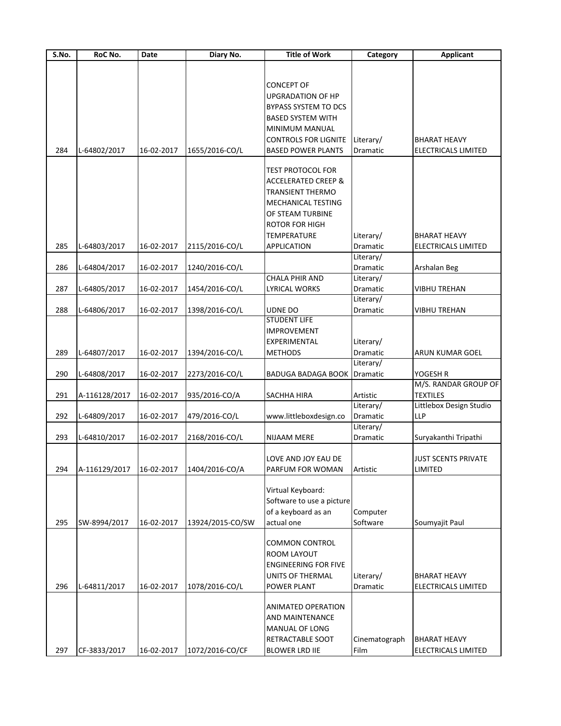| S.No. | RoC No.       | Date       | Diary No.        | <b>Title of Work</b>           | Category      | <b>Applicant</b>           |
|-------|---------------|------------|------------------|--------------------------------|---------------|----------------------------|
|       |               |            |                  |                                |               |                            |
|       |               |            |                  |                                |               |                            |
|       |               |            |                  | <b>CONCEPT OF</b>              |               |                            |
|       |               |            |                  | <b>UPGRADATION OF HP</b>       |               |                            |
|       |               |            |                  | <b>BYPASS SYSTEM TO DCS</b>    |               |                            |
|       |               |            |                  | <b>BASED SYSTEM WITH</b>       |               |                            |
|       |               |            |                  | MINIMUM MANUAL                 |               |                            |
|       |               |            |                  | <b>CONTROLS FOR LIGNITE</b>    | Literary/     | <b>BHARAT HEAVY</b>        |
| 284   | L-64802/2017  | 16-02-2017 | 1655/2016-CO/L   | <b>BASED POWER PLANTS</b>      | Dramatic      | <b>ELECTRICALS LIMITED</b> |
|       |               |            |                  |                                |               |                            |
|       |               |            |                  | <b>TEST PROTOCOL FOR</b>       |               |                            |
|       |               |            |                  | <b>ACCELERATED CREEP &amp;</b> |               |                            |
|       |               |            |                  | <b>TRANSIENT THERMO</b>        |               |                            |
|       |               |            |                  |                                |               |                            |
|       |               |            |                  | MECHANICAL TESTING             |               |                            |
|       |               |            |                  | OF STEAM TURBINE               |               |                            |
|       |               |            |                  | ROTOR FOR HIGH                 |               |                            |
|       |               |            |                  | <b>TEMPERATURE</b>             | Literary/     | <b>BHARAT HEAVY</b>        |
| 285   | L-64803/2017  | 16-02-2017 | 2115/2016-CO/L   | <b>APPLICATION</b>             | Dramatic      | <b>ELECTRICALS LIMITED</b> |
|       |               |            |                  |                                | Literary/     |                            |
| 286   | L-64804/2017  | 16-02-2017 | 1240/2016-CO/L   |                                | Dramatic      | Arshalan Beg               |
|       |               |            |                  | <b>CHALA PHIR AND</b>          | Literary/     |                            |
| 287   | L-64805/2017  | 16-02-2017 | 1454/2016-CO/L   | <b>LYRICAL WORKS</b>           | Dramatic      | <b>VIBHU TREHAN</b>        |
|       |               |            |                  |                                | Literary/     |                            |
| 288   | L-64806/2017  | 16-02-2017 | 1398/2016-CO/L   | <b>UDNE DO</b>                 | Dramatic      | <b>VIBHU TREHAN</b>        |
|       |               |            |                  | <b>STUDENT LIFE</b>            |               |                            |
|       |               |            |                  | <b>IMPROVEMENT</b>             |               |                            |
|       |               |            |                  | EXPERIMENTAL                   | Literary/     |                            |
| 289   | L-64807/2017  | 16-02-2017 | 1394/2016-CO/L   | <b>METHODS</b>                 | Dramatic      | ARUN KUMAR GOEL            |
|       |               |            |                  |                                | Literary/     |                            |
| 290   | L-64808/2017  | 16-02-2017 | 2273/2016-CO/L   | BADUGA BADAGA BOOK             | Dramatic      | YOGESH R                   |
|       |               |            |                  |                                |               | M/S. RANDAR GROUP OF       |
| 291   |               |            |                  |                                |               | <b>TEXTILES</b>            |
|       | A-116128/2017 | 16-02-2017 | 935/2016-CO/A    | SACHHA HIRA                    | Artistic      | Littlebox Design Studio    |
|       |               |            |                  |                                | Literary/     |                            |
| 292   | L-64809/2017  | 16-02-2017 | 479/2016-CO/L    | www.littleboxdesign.co         | Dramatic      | <b>LLP</b>                 |
|       |               |            |                  |                                | Literary/     |                            |
| 293   | L-64810/2017  | 16-02-2017 | 2168/2016-CO/L   | <b>NIJAAM MERE</b>             | Dramatic      | Suryakanthi Tripathi       |
|       |               |            |                  |                                |               |                            |
|       |               |            |                  | LOVE AND JOY EAU DE            |               | <b>JUST SCENTS PRIVATE</b> |
| 294   | A-116129/2017 | 16-02-2017 | 1404/2016-CO/A   | PARFUM FOR WOMAN               | Artistic      | LIMITED                    |
|       |               |            |                  |                                |               |                            |
|       |               |            |                  | Virtual Keyboard:              |               |                            |
|       |               |            |                  | Software to use a picture      |               |                            |
|       |               |            |                  | of a keyboard as an            | Computer      |                            |
| 295   | SW-8994/2017  | 16-02-2017 | 13924/2015-CO/SW | actual one                     | Software      | Soumyajit Paul             |
|       |               |            |                  |                                |               |                            |
|       |               |            |                  | <b>COMMON CONTROL</b>          |               |                            |
|       |               |            |                  | <b>ROOM LAYOUT</b>             |               |                            |
|       |               |            |                  | <b>ENGINEERING FOR FIVE</b>    |               |                            |
|       |               |            |                  | UNITS OF THERMAL               | Literary/     | <b>BHARAT HEAVY</b>        |
| 296   | L-64811/2017  | 16-02-2017 | 1078/2016-CO/L   | POWER PLANT                    | Dramatic      | ELECTRICALS LIMITED        |
|       |               |            |                  |                                |               |                            |
|       |               |            |                  | <b>ANIMATED OPERATION</b>      |               |                            |
|       |               |            |                  | <b>AND MAINTENANCE</b>         |               |                            |
|       |               |            |                  | MANUAL OF LONG                 |               |                            |
|       |               |            |                  | RETRACTABLE SOOT               | Cinematograph | <b>BHARAT HEAVY</b>        |
| 297   | CF-3833/2017  | 16-02-2017 | 1072/2016-CO/CF  | <b>BLOWER LRD IIE</b>          | Film          | ELECTRICALS LIMITED        |
|       |               |            |                  |                                |               |                            |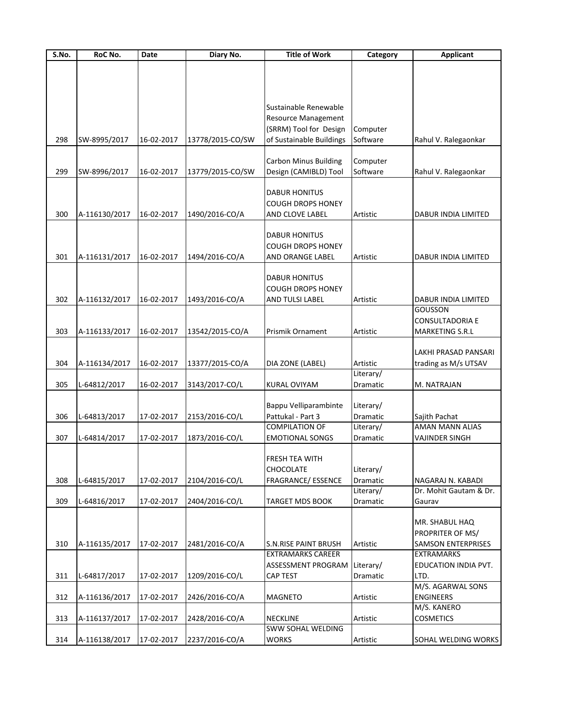| S.No. | RoC No.       | Date       | Diary No.        | <b>Title of Work</b>         | Category  | <b>Applicant</b>          |
|-------|---------------|------------|------------------|------------------------------|-----------|---------------------------|
|       |               |            |                  |                              |           |                           |
|       |               |            |                  |                              |           |                           |
|       |               |            |                  |                              |           |                           |
|       |               |            |                  |                              |           |                           |
|       |               |            |                  | Sustainable Renewable        |           |                           |
|       |               |            |                  | <b>Resource Management</b>   |           |                           |
|       |               |            |                  | (SRRM) Tool for Design       | Computer  |                           |
| 298   | SW-8995/2017  | 16-02-2017 | 13778/2015-CO/SW | of Sustainable Buildings     | Software  | Rahul V. Ralegaonkar      |
|       |               |            |                  |                              |           |                           |
|       |               |            |                  | <b>Carbon Minus Building</b> | Computer  |                           |
|       |               |            |                  | Design (CAMIBLD) Tool        |           |                           |
| 299   | SW-8996/2017  | 16-02-2017 | 13779/2015-CO/SW |                              | Software  | Rahul V. Ralegaonkar      |
|       |               |            |                  |                              |           |                           |
|       |               |            |                  | <b>DABUR HONITUS</b>         |           |                           |
|       |               |            |                  | <b>COUGH DROPS HONEY</b>     |           |                           |
| 300   | A-116130/2017 | 16-02-2017 | 1490/2016-CO/A   | AND CLOVE LABEL              | Artistic  | DABUR INDIA LIMITED       |
|       |               |            |                  |                              |           |                           |
|       |               |            |                  | <b>DABUR HONITUS</b>         |           |                           |
|       |               |            |                  | <b>COUGH DROPS HONEY</b>     |           |                           |
| 301   | A-116131/2017 | 16-02-2017 | 1494/2016-CO/A   | AND ORANGE LABEL             | Artistic  | DABUR INDIA LIMITED       |
|       |               |            |                  |                              |           |                           |
|       |               |            |                  | <b>DABUR HONITUS</b>         |           |                           |
|       |               |            |                  | <b>COUGH DROPS HONEY</b>     |           |                           |
| 302   | A-116132/2017 | 16-02-2017 | 1493/2016-CO/A   | AND TULSI LABEL              | Artistic  | DABUR INDIA LIMITED       |
|       |               |            |                  |                              |           | <b>GOUSSON</b>            |
|       |               |            |                  |                              |           | <b>CONSULTADORIA E</b>    |
| 303   | A-116133/2017 | 16-02-2017 | 13542/2015-CO/A  | Prismik Ornament             | Artistic  | MARKETING S.R.L           |
|       |               |            |                  |                              |           |                           |
|       |               |            |                  |                              |           |                           |
|       |               |            |                  |                              |           | LAKHI PRASAD PANSARI      |
| 304   | A-116134/2017 | 16-02-2017 | 13377/2015-CO/A  | DIA ZONE (LABEL)             | Artistic  | trading as M/s UTSAV      |
|       |               |            |                  |                              | Literary/ |                           |
| 305   | L-64812/2017  | 16-02-2017 | 3143/2017-CO/L   | <b>KURAL OVIYAM</b>          | Dramatic  | M. NATRAJAN               |
|       |               |            |                  |                              |           |                           |
|       |               |            |                  | Bappu Velliparambinte        | Literary/ |                           |
| 306   | L-64813/2017  | 17-02-2017 | 2153/2016-CO/L   | Pattukal - Part 3            | Dramatic  | Sajith Pachat             |
|       |               |            |                  | <b>COMPILATION OF</b>        | Literary/ | AMAN MANN ALIAS           |
| 307   | L-64814/2017  | 17-02-2017 | 1873/2016-CO/L   | <b>EMOTIONAL SONGS</b>       | Dramatic  | <b>VAJINDER SINGH</b>     |
|       |               |            |                  |                              |           |                           |
|       |               |            |                  | FRESH TEA WITH               |           |                           |
|       |               |            |                  | CHOCOLATE                    | Literary/ |                           |
| 308   | L-64815/2017  | 17-02-2017 | 2104/2016-CO/L   | FRAGRANCE/ ESSENCE           | Dramatic  | NAGARAJ N. KABADI         |
|       |               |            |                  |                              | Literary/ | Dr. Mohit Gautam & Dr.    |
| 309   | L-64816/2017  | 17-02-2017 | 2404/2016-CO/L   | <b>TARGET MDS BOOK</b>       | Dramatic  | Gaurav                    |
|       |               |            |                  |                              |           |                           |
|       |               |            |                  |                              |           |                           |
|       |               |            |                  |                              |           | MR. SHABUL HAQ            |
|       |               |            |                  |                              |           | PROPRITER OF MS/          |
| 310   | A-116135/2017 | 17-02-2017 | 2481/2016-CO/A   | <b>S.N.RISE PAINT BRUSH</b>  | Artistic  | <b>SAMSON ENTERPRISES</b> |
|       |               |            |                  | <b>EXTRAMARKS CAREER</b>     |           | <b>EXTRAMARKS</b>         |
|       |               |            |                  | ASSESSMENT PROGRAM           | Literary/ | EDUCATION INDIA PVT.      |
| 311   | L-64817/2017  | 17-02-2017 | 1209/2016-CO/L   | CAP TEST                     | Dramatic  | LTD.                      |
|       |               |            |                  |                              |           | M/S. AGARWAL SONS         |
| 312   | A-116136/2017 | 17-02-2017 | 2426/2016-CO/A   | <b>MAGNETO</b>               | Artistic  | <b>ENGINEERS</b>          |
|       |               |            |                  |                              |           | M/S. KANERO               |
| 313   | A-116137/2017 | 17-02-2017 | 2428/2016-CO/A   | <b>NECKLINE</b>              | Artistic  | <b>COSMETICS</b>          |
|       |               |            |                  | SWW SOHAL WELDING            |           |                           |
| 314   | A-116138/2017 | 17-02-2017 | 2237/2016-CO/A   | <b>WORKS</b>                 | Artistic  | SOHAL WELDING WORKS       |
|       |               |            |                  |                              |           |                           |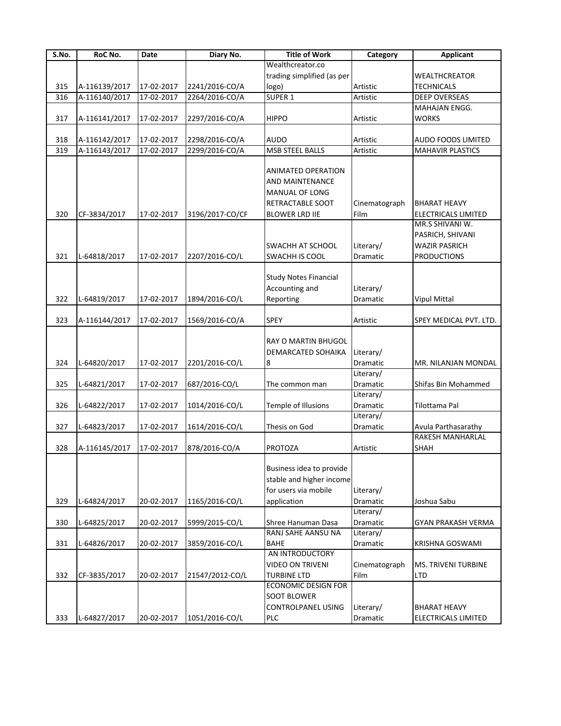| S.No. | RoC No.       | Date       | Diary No.       | <b>Title of Work</b>                                                                                                      | Category              | <b>Applicant</b>                                                                  |
|-------|---------------|------------|-----------------|---------------------------------------------------------------------------------------------------------------------------|-----------------------|-----------------------------------------------------------------------------------|
|       |               |            |                 | Wealthcreator.co                                                                                                          |                       |                                                                                   |
|       |               |            |                 | trading simplified (as per                                                                                                |                       | <b>WEALTHCREATOR</b>                                                              |
| 315   | A-116139/2017 | 17-02-2017 | 2241/2016-CO/A  | logo)                                                                                                                     | Artistic              | <b>TECHNICALS</b>                                                                 |
| 316   | A-116140/2017 | 17-02-2017 | 2264/2016-CO/A  | SUPER <sub>1</sub>                                                                                                        | Artistic              | <b>DEEP OVERSEAS</b>                                                              |
|       |               |            |                 |                                                                                                                           |                       | MAHAJAN ENGG.                                                                     |
| 317   | A-116141/2017 | 17-02-2017 | 2297/2016-CO/A  | <b>HIPPO</b>                                                                                                              | Artistic              | <b>WORKS</b>                                                                      |
|       |               |            |                 |                                                                                                                           |                       |                                                                                   |
| 318   | A-116142/2017 | 17-02-2017 | 2298/2016-CO/A  | <b>AUDO</b>                                                                                                               | Artistic              | AUDO FOODS LIMITED                                                                |
| 319   | A-116143/2017 | 17-02-2017 | 2299/2016-CO/A  | <b>MSB STEEL BALLS</b>                                                                                                    | Artistic              | <b>MAHAVIR PLASTICS</b>                                                           |
| 320   | CF-3834/2017  | 17-02-2017 | 3196/2017-CO/CF | <b>ANIMATED OPERATION</b><br><b>AND MAINTENANCE</b><br><b>MANUAL OF LONG</b><br>RETRACTABLE SOOT<br><b>BLOWER LRD IIE</b> | Cinematograph<br>Film | <b>BHARAT HEAVY</b><br><b>ELECTRICALS LIMITED</b>                                 |
| 321   | L-64818/2017  | 17-02-2017 | 2207/2016-CO/L  | <b>SWACHH AT SCHOOL</b><br>SWACHH IS COOL                                                                                 | Literary/<br>Dramatic | MR.S SHIVANI W.<br>PASRICH, SHIVANI<br><b>WAZIR PASRICH</b><br><b>PRODUCTIONS</b> |
| 322   | L-64819/2017  | 17-02-2017 | 1894/2016-CO/L  | <b>Study Notes Financial</b><br>Accounting and<br>Reporting                                                               | Literary/<br>Dramatic | <b>Vipul Mittal</b>                                                               |
| 323   | A-116144/2017 | 17-02-2017 | 1569/2016-CO/A  | <b>SPEY</b>                                                                                                               | Artistic              | SPEY MEDICAL PVT. LTD.                                                            |
| 324   | L-64820/2017  | 17-02-2017 | 2201/2016-CO/L  | RAY O MARTIN BHUGOL<br>DEMARCATED SOHAIKA<br>8                                                                            | Literary/<br>Dramatic | MR. NILANJAN MONDAL                                                               |
|       |               |            |                 |                                                                                                                           | Literary/             |                                                                                   |
| 325   | L-64821/2017  | 17-02-2017 | 687/2016-CO/L   | The common man                                                                                                            | Dramatic              | Shifas Bin Mohammed                                                               |
| 326   | L-64822/2017  | 17-02-2017 | 1014/2016-CO/L  | Temple of Illusions                                                                                                       | Literary/<br>Dramatic | Tilottama Pal                                                                     |
| 327   | L-64823/2017  | 17-02-2017 | 1614/2016-CO/L  | Thesis on God                                                                                                             | Literary/<br>Dramatic | Avula Parthasarathy                                                               |
| 328   | A-116145/2017 | 17-02-2017 | 878/2016-CO/A   | <b>PROTOZA</b>                                                                                                            | Artistic              | RAKESH MANHARLAL<br>SHAH                                                          |
| 329   | L-64824/2017  | 20-02-2017 | 1165/2016-CO/L  | Business idea to provide<br>stable and higher income<br>for users via mobile<br>application                               | Literary/<br>Dramatic | Joshua Sabu                                                                       |
|       |               |            |                 |                                                                                                                           | Literary/             |                                                                                   |
| 330   | L-64825/2017  | 20-02-2017 | 5999/2015-CO/L  | Shree Hanuman Dasa                                                                                                        | Dramatic              | GYAN PRAKASH VERMA                                                                |
|       |               |            |                 | RANJ SAHE AANSU NA                                                                                                        | Literary/             |                                                                                   |
| 331   | L-64826/2017  | 20-02-2017 | 3859/2016-CO/L  | <b>BAHE</b>                                                                                                               | Dramatic              | KRISHNA GOSWAMI                                                                   |
| 332   | CF-3835/2017  | 20-02-2017 | 21547/2012-CO/L | AN INTRODUCTORY<br><b>VIDEO ON TRIVENI</b><br><b>TURBINE LTD</b><br><b>ECONOMIC DESIGN FOR</b>                            | Cinematograph<br>Film | MS. TRIVENI TURBINE<br><b>LTD</b>                                                 |
| 333   | L-64827/2017  | 20-02-2017 | 1051/2016-CO/L  | <b>SOOT BLOWER</b><br><b>CONTROLPANEL USING</b><br>PLC                                                                    | Literary/<br>Dramatic | <b>BHARAT HEAVY</b><br>ELECTRICALS LIMITED                                        |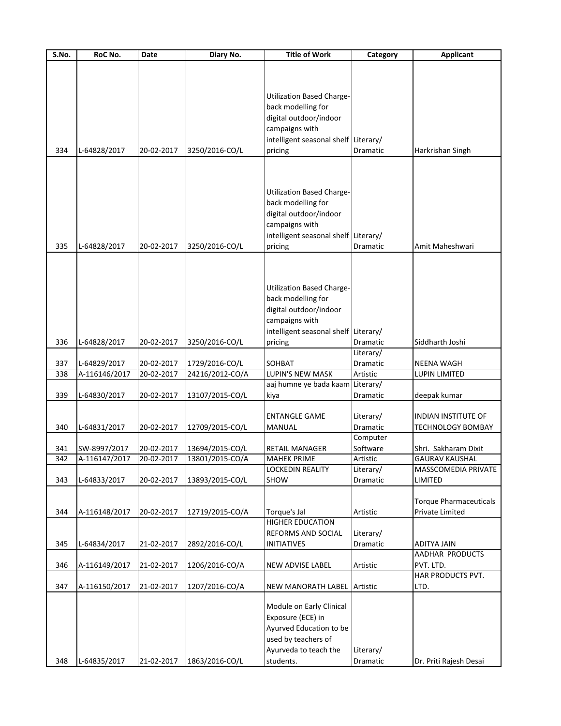| S.No. | RoC No.       | Date       | Diary No.       | <b>Title of Work</b>                 | Category        | <b>Applicant</b>              |
|-------|---------------|------------|-----------------|--------------------------------------|-----------------|-------------------------------|
|       |               |            |                 |                                      |                 |                               |
|       |               |            |                 |                                      |                 |                               |
|       |               |            |                 |                                      |                 |                               |
|       |               |            |                 | <b>Utilization Based Charge-</b>     |                 |                               |
|       |               |            |                 | back modelling for                   |                 |                               |
|       |               |            |                 | digital outdoor/indoor               |                 |                               |
|       |               |            |                 | campaigns with                       |                 |                               |
|       |               |            |                 | intelligent seasonal shelf Literary/ |                 |                               |
| 334   | L-64828/2017  | 20-02-2017 | 3250/2016-CO/L  | pricing                              | <b>Dramatic</b> | Harkrishan Singh              |
|       |               |            |                 |                                      |                 |                               |
|       |               |            |                 |                                      |                 |                               |
|       |               |            |                 |                                      |                 |                               |
|       |               |            |                 | <b>Utilization Based Charge-</b>     |                 |                               |
|       |               |            |                 |                                      |                 |                               |
|       |               |            |                 | back modelling for                   |                 |                               |
|       |               |            |                 | digital outdoor/indoor               |                 |                               |
|       |               |            |                 | campaigns with                       |                 |                               |
|       |               |            |                 | intelligent seasonal shelf Literary/ |                 |                               |
| 335   | L-64828/2017  | 20-02-2017 | 3250/2016-CO/L  | pricing                              | Dramatic        | Amit Maheshwari               |
|       |               |            |                 |                                      |                 |                               |
|       |               |            |                 |                                      |                 |                               |
|       |               |            |                 |                                      |                 |                               |
|       |               |            |                 | <b>Utilization Based Charge-</b>     |                 |                               |
|       |               |            |                 | back modelling for                   |                 |                               |
|       |               |            |                 | digital outdoor/indoor               |                 |                               |
|       |               |            |                 | campaigns with                       |                 |                               |
|       |               |            |                 |                                      |                 |                               |
|       |               |            |                 | intelligent seasonal shelf Literary/ |                 |                               |
| 336   | L-64828/2017  | 20-02-2017 | 3250/2016-CO/L  | pricing                              | Dramatic        | Siddharth Joshi               |
|       |               |            |                 |                                      | Literary/       |                               |
| 337   | L-64829/2017  | 20-02-2017 | 1729/2016-CO/L  | SOHBAT                               | Dramatic        | <b>NEENA WAGH</b>             |
| 338   | A-116146/2017 | 20-02-2017 | 24216/2012-CO/A | LUPIN'S NEW MASK                     | Artistic        | LUPIN LIMITED                 |
|       |               |            |                 | aaj humne ye bada kaam Literary/     |                 |                               |
| 339   | L-64830/2017  | 20-02-2017 | 13107/2015-CO/L | kiya                                 | Dramatic        | deepak kumar                  |
|       |               |            |                 |                                      |                 |                               |
|       |               |            |                 | <b>ENTANGLE GAME</b>                 | Literary/       | <b>INDIAN INSTITUTE OF</b>    |
| 340   | L-64831/2017  | 20-02-2017 | 12709/2015-CO/L | <b>MANUAL</b>                        | Dramatic        | <b>TECHNOLOGY BOMBAY</b>      |
|       |               |            |                 |                                      | Computer        |                               |
| 341   | SW-8997/2017  | 20-02-2017 | 13694/2015-CO/L | <b>RETAIL MANAGER</b>                | Software        | Shri. Sakharam Dixit          |
| 342   | A-116147/2017 | 20-02-2017 | 13801/2015-CO/A | <b>MAHEK PRIME</b>                   | Artistic        | <b>GAURAV KAUSHAL</b>         |
|       |               |            |                 | LOCKEDIN REALITY                     | Literary/       | MASSCOMEDIA PRIVATE           |
| 343   | L-64833/2017  | 20-02-2017 | 13893/2015-CO/L | SHOW                                 | Dramatic        | LIMITED                       |
|       |               |            |                 |                                      |                 |                               |
|       |               |            |                 |                                      |                 | <b>Torque Pharmaceuticals</b> |
| 344   | A-116148/2017 | 20-02-2017 | 12719/2015-CO/A | Torque's Jal                         | Artistic        | Private Limited               |
|       |               |            |                 | <b>HIGHER EDUCATION</b>              |                 |                               |
|       |               |            |                 |                                      |                 |                               |
|       |               |            |                 | REFORMS AND SOCIAL                   | Literary/       |                               |
| 345   | L-64834/2017  | 21-02-2017 | 2892/2016-CO/L  | <b>INITIATIVES</b>                   | Dramatic        | <b>ADITYA JAIN</b>            |
|       |               |            |                 |                                      |                 | AADHAR PRODUCTS               |
| 346   | A-116149/2017 | 21-02-2017 | 1206/2016-CO/A  | NEW ADVISE LABEL                     | Artistic        | PVT. LTD.                     |
|       |               |            |                 |                                      |                 | HAR PRODUCTS PVT.             |
| 347   | A-116150/2017 | 21-02-2017 | 1207/2016-CO/A  | NEW MANORATH LABEL                   | Artistic        | LTD.                          |
|       |               |            |                 |                                      |                 |                               |
|       |               |            |                 | Module on Early Clinical             |                 |                               |
|       |               |            |                 | Exposure (ECE) in                    |                 |                               |
|       |               |            |                 | Ayurved Education to be              |                 |                               |
|       |               |            |                 | used by teachers of                  |                 |                               |
|       |               |            |                 | Ayurveda to teach the                | Literary/       |                               |
|       |               |            |                 |                                      |                 |                               |
| 348   | L-64835/2017  | 21-02-2017 | 1863/2016-CO/L  | students.                            | Dramatic        | Dr. Priti Rajesh Desai        |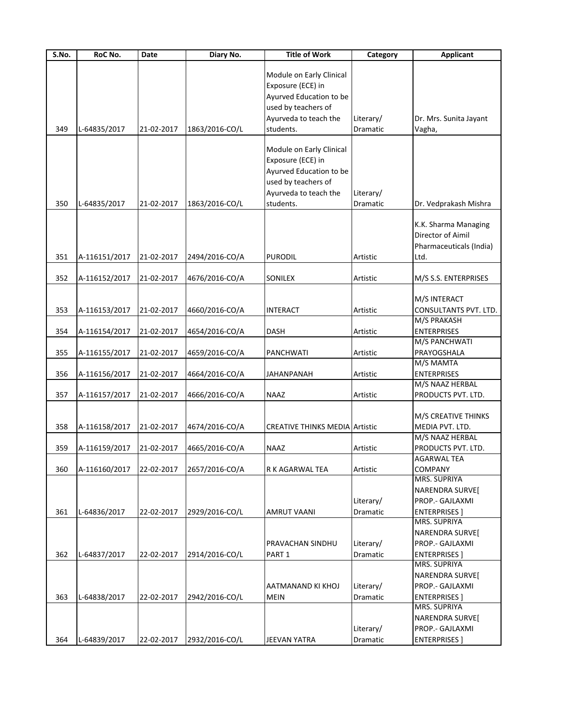| S.No. | RoC No.       | Date       | Diary No.      | <b>Title of Work</b>                  | Category  | <b>Applicant</b>                     |
|-------|---------------|------------|----------------|---------------------------------------|-----------|--------------------------------------|
|       |               |            |                |                                       |           |                                      |
|       |               |            |                | Module on Early Clinical              |           |                                      |
|       |               |            |                | Exposure (ECE) in                     |           |                                      |
|       |               |            |                | Ayurved Education to be               |           |                                      |
|       |               |            |                | used by teachers of                   |           |                                      |
|       |               |            |                | Ayurveda to teach the                 | Literary/ | Dr. Mrs. Sunita Jayant               |
| 349   | L-64835/2017  | 21-02-2017 | 1863/2016-CO/L | students.                             | Dramatic  | Vagha,                               |
|       |               |            |                |                                       |           |                                      |
|       |               |            |                | Module on Early Clinical              |           |                                      |
|       |               |            |                | Exposure (ECE) in                     |           |                                      |
|       |               |            |                | Ayurved Education to be               |           |                                      |
|       |               |            |                | used by teachers of                   |           |                                      |
|       |               |            |                | Ayurveda to teach the                 | Literary/ |                                      |
| 350   | L-64835/2017  | 21-02-2017 | 1863/2016-CO/L | students.                             | Dramatic  | Dr. Vedprakash Mishra                |
|       |               |            |                |                                       |           | K.K. Sharma Managing                 |
|       |               |            |                |                                       |           | Director of Aimil                    |
|       |               |            |                |                                       |           | Pharmaceuticals (India)              |
| 351   |               | 21-02-2017 |                | <b>PURODIL</b>                        | Artistic  | Ltd.                                 |
|       | A-116151/2017 |            | 2494/2016-CO/A |                                       |           |                                      |
| 352   | A-116152/2017 | 21-02-2017 | 4676/2016-CO/A | SONILEX                               | Artistic  | M/S S.S. ENTERPRISES                 |
|       |               |            |                |                                       |           |                                      |
|       |               |            |                |                                       |           | M/S INTERACT                         |
| 353   | A-116153/2017 | 21-02-2017 | 4660/2016-CO/A | <b>INTERACT</b>                       | Artistic  | CONSULTANTS PVT. LTD.                |
|       |               |            |                |                                       |           | M/S PRAKASH                          |
| 354   | A-116154/2017 | 21-02-2017 | 4654/2016-CO/A | <b>DASH</b>                           | Artistic  | <b>ENTERPRISES</b>                   |
|       |               |            |                |                                       |           | M/S PANCHWATI                        |
| 355   | A-116155/2017 | 21-02-2017 | 4659/2016-CO/A | PANCHWATI                             | Artistic  | PRAYOGSHALA                          |
|       |               |            |                |                                       |           | M/S MAMTA                            |
| 356   | A-116156/2017 | 21-02-2017 | 4664/2016-CO/A | <b>JAHANPANAH</b>                     | Artistic  | <b>ENTERPRISES</b>                   |
|       |               |            |                |                                       |           | M/S NAAZ HERBAL                      |
| 357   | A-116157/2017 | 21-02-2017 | 4666/2016-CO/A | <b>NAAZ</b>                           | Artistic  | PRODUCTS PVT. LTD.                   |
|       |               |            |                |                                       |           |                                      |
|       |               |            |                |                                       |           | M/S CREATIVE THINKS                  |
| 358   | A-116158/2017 | 21-02-2017 | 4674/2016-CO/A | <b>CREATIVE THINKS MEDIA Artistic</b> |           | MEDIA PVT. LTD.                      |
|       |               |            |                |                                       |           | M/S NAAZ HERBAL                      |
| 359   | A-116159/2017 | 21-02-2017 | 4665/2016-CO/A | <b>NAAZ</b>                           | Artistic  | PRODUCTS PVT. LTD.                   |
|       |               |            |                |                                       |           | <b>AGARWAI TFA</b>                   |
| 360   | A-116160/2017 | 22-02-2017 | 2657/2016-CO/A | R K AGARWAL TEA                       | Artistic  | <b>COMPANY</b>                       |
|       |               |            |                |                                       |           | MRS. SUPRIYA                         |
|       |               |            |                |                                       |           | NARENDRA SURVE[                      |
|       |               |            |                |                                       | Literary/ | PROP.- GAJLAXMI                      |
| 361   | L-64836/2017  | 22-02-2017 | 2929/2016-CO/L | <b>AMRUT VAANI</b>                    | Dramatic  | <b>ENTERPRISES</b> 1                 |
|       |               |            |                |                                       |           | MRS. SUPRIYA                         |
|       |               |            |                |                                       |           | NARENDRA SURVE[                      |
|       |               |            |                | PRAVACHAN SINDHU                      | Literary/ | PROP.- GAJLAXMI                      |
| 362   | L-64837/2017  | 22-02-2017 | 2914/2016-CO/L | PART 1                                | Dramatic  | <b>ENTERPRISES</b> 1<br>MRS. SUPRIYA |
|       |               |            |                |                                       |           |                                      |
|       |               |            |                |                                       |           | NARENDRA SURVE[                      |
|       |               |            |                | AATMANAND KI KHOJ                     | Literary/ | PROP.- GAJLAXMI                      |
| 363   | L-64838/2017  | 22-02-2017 | 2942/2016-CO/L | <b>MEIN</b>                           | Dramatic  | <b>ENTERPRISES</b> 1                 |
|       |               |            |                |                                       |           | MRS. SUPRIYA                         |
|       |               |            |                |                                       |           | NARENDRA SURVE[                      |
|       |               |            |                |                                       | Literary/ | PROP.- GAJLAXMI                      |
| 364   | L-64839/2017  | 22-02-2017 | 2932/2016-CO/L | <b>JEEVAN YATRA</b>                   | Dramatic  | <b>ENTERPRISES</b> ]                 |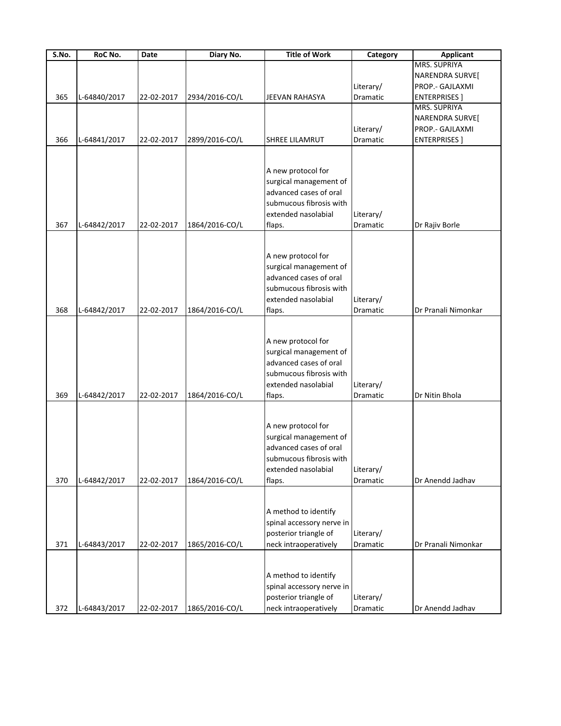| S.No. | RoC No.      | Date       | Diary No.      | <b>Title of Work</b>                             | Category  | <b>Applicant</b>     |
|-------|--------------|------------|----------------|--------------------------------------------------|-----------|----------------------|
|       |              |            |                |                                                  |           | <b>MRS. SUPRIYA</b>  |
|       |              |            |                |                                                  |           | NARENDRA SURVE[      |
|       |              |            |                |                                                  | Literary/ | PROP .- GAJLAXMI     |
| 365   | L-64840/2017 | 22-02-2017 | 2934/2016-CO/L | <b>JEEVAN RAHASYA</b>                            | Dramatic  | <b>ENTERPRISES</b> ] |
|       |              |            |                |                                                  |           | MRS. SUPRIYA         |
|       |              |            |                |                                                  |           | NARENDRA SURVE[      |
|       |              |            |                |                                                  | Literary/ | PROP .- GAJLAXMI     |
| 366   | L-64841/2017 | 22-02-2017 | 2899/2016-CO/L | <b>SHREE LILAMRUT</b>                            | Dramatic  | <b>ENTERPRISES</b> ] |
|       |              |            |                |                                                  |           |                      |
|       |              |            |                |                                                  |           |                      |
|       |              |            |                | A new protocol for                               |           |                      |
|       |              |            |                | surgical management of                           |           |                      |
|       |              |            |                | advanced cases of oral                           |           |                      |
|       |              |            |                | submucous fibrosis with                          |           |                      |
|       |              |            |                | extended nasolabial                              | Literary/ |                      |
| 367   | L-64842/2017 | 22-02-2017 | 1864/2016-CO/L |                                                  | Dramatic  |                      |
|       |              |            |                | flaps.                                           |           | Dr Rajiv Borle       |
|       |              |            |                |                                                  |           |                      |
|       |              |            |                | A new protocol for                               |           |                      |
|       |              |            |                |                                                  |           |                      |
|       |              |            |                | surgical management of<br>advanced cases of oral |           |                      |
|       |              |            |                |                                                  |           |                      |
|       |              |            |                | submucous fibrosis with                          |           |                      |
|       |              |            |                | extended nasolabial                              | Literary/ |                      |
| 368   | L-64842/2017 | 22-02-2017 | 1864/2016-CO/L | flaps.                                           | Dramatic  | Dr Pranali Nimonkar  |
|       |              |            |                |                                                  |           |                      |
|       |              |            |                |                                                  |           |                      |
|       |              |            |                | A new protocol for                               |           |                      |
|       |              |            |                | surgical management of                           |           |                      |
|       |              |            |                | advanced cases of oral                           |           |                      |
|       |              |            |                | submucous fibrosis with                          |           |                      |
|       |              |            |                | extended nasolabial                              | Literary/ |                      |
| 369   | L-64842/2017 | 22-02-2017 | 1864/2016-CO/L | flaps.                                           | Dramatic  | Dr Nitin Bhola       |
|       |              |            |                |                                                  |           |                      |
|       |              |            |                |                                                  |           |                      |
|       |              |            |                | A new protocol for                               |           |                      |
|       |              |            |                | surgical management of                           |           |                      |
|       |              |            |                | advanced cases of oral                           |           |                      |
|       |              |            |                | submucous fibrosis with                          |           |                      |
|       |              |            |                | extended nasolabial                              | Literary/ |                      |
| 370   | L-64842/2017 | 22-02-2017 | 1864/2016-CO/L | flaps.                                           | Dramatic  | Dr Anendd Jadhav     |
|       |              |            |                |                                                  |           |                      |
|       |              |            |                |                                                  |           |                      |
|       |              |            |                | A method to identify                             |           |                      |
|       |              |            |                | spinal accessory nerve in                        |           |                      |
|       |              |            |                | posterior triangle of                            | Literary/ |                      |
| 371   | L-64843/2017 | 22-02-2017 | 1865/2016-CO/L | neck intraoperatively                            | Dramatic  | Dr Pranali Nimonkar  |
|       |              |            |                |                                                  |           |                      |
|       |              |            |                |                                                  |           |                      |
|       |              |            |                | A method to identify                             |           |                      |
|       |              |            |                | spinal accessory nerve in                        |           |                      |
|       |              |            |                | posterior triangle of                            | Literary/ |                      |
| 372   | L-64843/2017 | 22-02-2017 | 1865/2016-CO/L | neck intraoperatively                            | Dramatic  | Dr Anendd Jadhav     |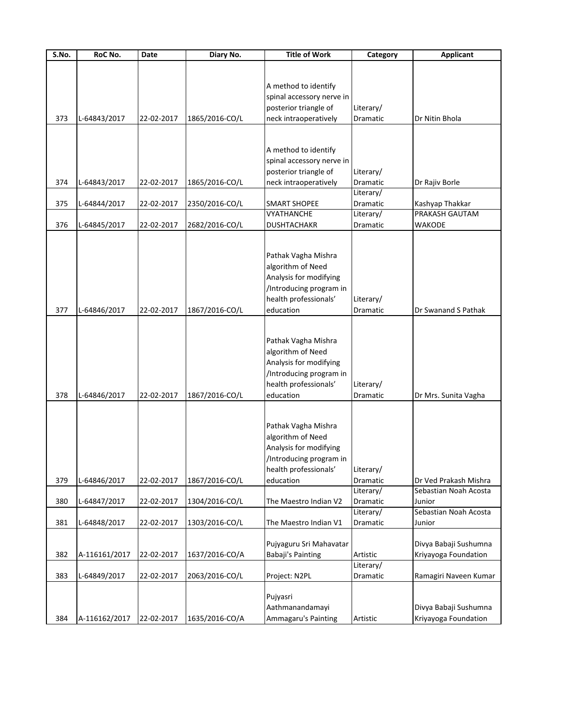| $\overline{\mathsf{S}}$ . No. | RoC No.       | Date       | Diary No.      | <b>Title of Work</b>      | Category  | <b>Applicant</b>      |
|-------------------------------|---------------|------------|----------------|---------------------------|-----------|-----------------------|
|                               |               |            |                |                           |           |                       |
|                               |               |            |                |                           |           |                       |
|                               |               |            |                | A method to identify      |           |                       |
|                               |               |            |                | spinal accessory nerve in |           |                       |
|                               |               |            |                | posterior triangle of     | Literary/ |                       |
| 373                           | L-64843/2017  | 22-02-2017 | 1865/2016-CO/L | neck intraoperatively     | Dramatic  | Dr Nitin Bhola        |
|                               |               |            |                |                           |           |                       |
|                               |               |            |                |                           |           |                       |
|                               |               |            |                | A method to identify      |           |                       |
|                               |               |            |                | spinal accessory nerve in |           |                       |
|                               |               |            |                | posterior triangle of     | Literary/ |                       |
| 374                           | L-64843/2017  | 22-02-2017 | 1865/2016-CO/L | neck intraoperatively     | Dramatic  | Dr Rajiv Borle        |
|                               |               |            |                |                           | Literary/ |                       |
| 375                           | L-64844/2017  | 22-02-2017 | 2350/2016-CO/L | <b>SMART SHOPEE</b>       | Dramatic  | Kashyap Thakkar       |
|                               |               |            |                | VYATHANCHE                | Literary/ | PRAKASH GAUTAM        |
| 376                           | L-64845/2017  | 22-02-2017 | 2682/2016-CO/L | <b>DUSHTACHAKR</b>        | Dramatic  | WAKODE                |
|                               |               |            |                |                           |           |                       |
|                               |               |            |                |                           |           |                       |
|                               |               |            |                | Pathak Vagha Mishra       |           |                       |
|                               |               |            |                | algorithm of Need         |           |                       |
|                               |               |            |                | Analysis for modifying    |           |                       |
|                               |               |            |                | /Introducing program in   |           |                       |
|                               |               |            |                | health professionals'     | Literary/ |                       |
| 377                           | L-64846/2017  | 22-02-2017 | 1867/2016-CO/L | education                 | Dramatic  | Dr Swanand S Pathak   |
|                               |               |            |                |                           |           |                       |
|                               |               |            |                |                           |           |                       |
|                               |               |            |                | Pathak Vagha Mishra       |           |                       |
|                               |               |            |                | algorithm of Need         |           |                       |
|                               |               |            |                | Analysis for modifying    |           |                       |
|                               |               |            |                | /Introducing program in   |           |                       |
|                               |               |            |                | health professionals'     | Literary/ |                       |
| 378                           | L-64846/2017  | 22-02-2017 | 1867/2016-CO/L | education                 | Dramatic  | Dr Mrs. Sunita Vagha  |
|                               |               |            |                |                           |           |                       |
|                               |               |            |                |                           |           |                       |
|                               |               |            |                | Pathak Vagha Mishra       |           |                       |
|                               |               |            |                | algorithm of Need         |           |                       |
|                               |               |            |                | Analysis for modifying    |           |                       |
|                               |               |            |                | /Introducing program in   |           |                       |
|                               |               |            |                | health professionals'     | Literary/ |                       |
| 379                           | L-64846/2017  | 22-02-2017 | 1867/2016-CO/L | education                 | Dramatic  | Dr Ved Prakash Mishra |
|                               |               |            |                |                           | Literary/ | Sebastian Noah Acosta |
| 380                           | L-64847/2017  | 22-02-2017 | 1304/2016-CO/L | The Maestro Indian V2     | Dramatic  | Junior                |
|                               |               |            |                |                           | Literary/ | Sebastian Noah Acosta |
| 381                           | L-64848/2017  | 22-02-2017 | 1303/2016-CO/L | The Maestro Indian V1     | Dramatic  | Junior                |
|                               |               |            |                |                           |           |                       |
|                               |               |            |                | Pujyaguru Sri Mahavatar   |           | Divya Babaji Sushumna |
| 382                           | A-116161/2017 | 22-02-2017 | 1637/2016-CO/A | Babaji's Painting         | Artistic  | Kriyayoga Foundation  |
|                               |               |            |                |                           | Literary/ |                       |
| 383                           | L-64849/2017  | 22-02-2017 | 2063/2016-CO/L | Project: N2PL             | Dramatic  | Ramagiri Naveen Kumar |
|                               |               |            |                |                           |           |                       |
|                               |               |            |                | Pujyasri                  |           |                       |
|                               |               |            |                | Aathmanandamayi           |           | Divya Babaji Sushumna |
| 384                           | A-116162/2017 | 22-02-2017 | 1635/2016-CO/A | Ammagaru's Painting       | Artistic  | Kriyayoga Foundation  |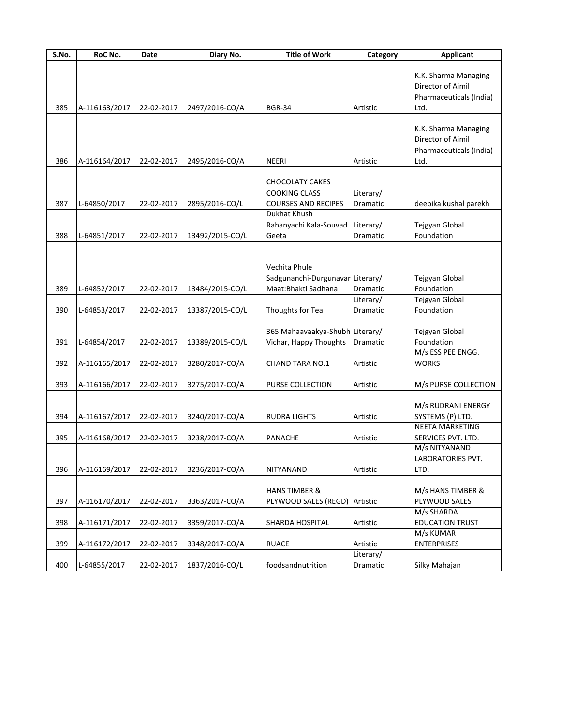| <b>Applicant</b>         |
|--------------------------|
|                          |
| K.K. Sharma Managing     |
| Director of Aimil        |
| Pharmaceuticals (India)  |
| Ltd.                     |
|                          |
| K.K. Sharma Managing     |
| Director of Aimil        |
| Pharmaceuticals (India)  |
| Ltd.                     |
|                          |
|                          |
|                          |
| deepika kushal parekh    |
|                          |
| Tejgyan Global           |
| Foundation               |
|                          |
|                          |
|                          |
| Tejgyan Global           |
| Foundation               |
| Tejgyan Global           |
| Foundation               |
|                          |
| Tejgyan Global           |
| Foundation               |
| M/s ESS PEE ENGG.        |
| <b>WORKS</b>             |
|                          |
| M/s PURSE COLLECTION     |
|                          |
| M/s RUDRANI ENERGY       |
| SYSTEMS (P) LTD.         |
| <b>NEETA MARKETING</b>   |
| SERVICES PVT. LTD.       |
| M/s NITYANAND            |
| <b>LABORATORIES PVT.</b> |
| LTD.                     |
|                          |
| M/s HANS TIMBER &        |
| PLYWOOD SALES            |
| M/s SHARDA               |
| <b>EDUCATION TRUST</b>   |
| M/s KUMAR                |
| <b>ENTERPRISES</b>       |
|                          |
| Silky Mahajan            |
|                          |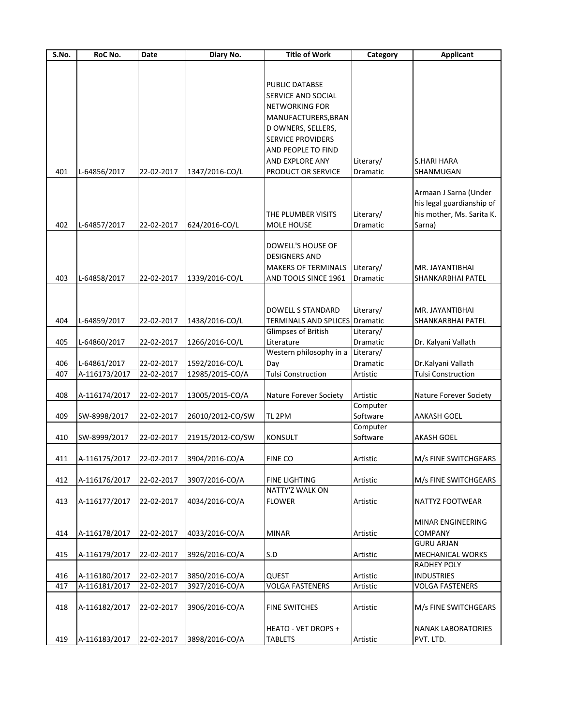| S.No. | RoC No.                  | Date       | Diary No.        | <b>Title of Work</b>           | Category  | <b>Applicant</b>          |
|-------|--------------------------|------------|------------------|--------------------------------|-----------|---------------------------|
|       |                          |            |                  |                                |           |                           |
|       |                          |            |                  |                                |           |                           |
|       |                          |            |                  | PUBLIC DATABSE                 |           |                           |
|       |                          |            |                  | SERVICE AND SOCIAL             |           |                           |
|       |                          |            |                  | NETWORKING FOR                 |           |                           |
|       |                          |            |                  | MANUFACTURERS, BRAN            |           |                           |
|       |                          |            |                  | D OWNERS, SELLERS,             |           |                           |
|       |                          |            |                  | <b>SERVICE PROVIDERS</b>       |           |                           |
|       |                          |            |                  | AND PEOPLE TO FIND             |           |                           |
|       |                          |            |                  | AND EXPLORE ANY                | Literary/ | <b>S.HARI HARA</b>        |
| 401   | L-64856/2017             | 22-02-2017 | 1347/2016-CO/L   | PRODUCT OR SERVICE             | Dramatic  | SHANMUGAN                 |
|       |                          |            |                  |                                |           |                           |
|       |                          |            |                  |                                |           | Armaan J Sarna (Under     |
|       |                          |            |                  |                                |           | his legal guardianship of |
|       |                          |            |                  | THE PLUMBER VISITS             | Literary/ | his mother, Ms. Sarita K. |
|       |                          |            |                  |                                |           |                           |
| 402   | L-64857/2017             | 22-02-2017 | 624/2016-CO/L    | <b>MOLE HOUSE</b>              | Dramatic  | Sarna)                    |
|       |                          |            |                  |                                |           |                           |
|       |                          |            |                  | DOWELL'S HOUSE OF              |           |                           |
|       |                          |            |                  | <b>DESIGNERS AND</b>           |           |                           |
|       |                          |            |                  | <b>MAKERS OF TERMINALS</b>     | Literary/ | MR. JAYANTIBHAI           |
| 403   | L-64858/2017             | 22-02-2017 | 1339/2016-CO/L   | AND TOOLS SINCE 1961           | Dramatic  | SHANKARBHAI PATEL         |
|       |                          |            |                  |                                |           |                           |
|       |                          |            |                  |                                |           |                           |
|       |                          |            |                  | <b>DOWELL S STANDARD</b>       | Literary/ | MR. JAYANTIBHAI           |
| 404   | L-64859/2017             | 22-02-2017 | 1438/2016-CO/L   | TERMINALS AND SPLICES Dramatic |           | SHANKARBHAI PATEL         |
|       |                          |            |                  | Glimpses of British            | Literary/ |                           |
| 405   | L-64860/2017             | 22-02-2017 | 1266/2016-CO/L   | Literature                     | Dramatic  | Dr. Kalyani Vallath       |
|       |                          |            |                  | Western philosophy in a        | Literary/ |                           |
| 406   | L-64861/2017             | 22-02-2017 | 1592/2016-CO/L   | Day                            | Dramatic  | Dr.Kalyani Vallath        |
| 407   | A-116173/2017            | 22-02-2017 | 12985/2015-CO/A  | <b>Tulsi Construction</b>      | Artistic  | <b>Tulsi Construction</b> |
|       |                          |            |                  |                                |           |                           |
| 408   | A-116174/2017            | 22-02-2017 | 13005/2015-CO/A  | Nature Forever Society         | Artistic  | Nature Forever Society    |
|       |                          |            |                  |                                | Computer  |                           |
| 409   | SW-8998/2017             | 22-02-2017 | 26010/2012-CO/SW | TL <sub>2PM</sub>              | Software  | <b>AAKASH GOEL</b>        |
|       |                          |            |                  |                                | Computer  |                           |
| 410   | SW-8999/2017             | 22-02-2017 | 21915/2012-CO/SW | <b>KONSULT</b>                 | Software  | <b>AKASH GOEL</b>         |
|       |                          |            |                  |                                |           |                           |
| 411   | A-116175/2017 22-02-2017 |            | 3904/2016-CO/A   | <b>FINE CO</b>                 | Artistic  | M/s FINE SWITCHGEARS      |
|       |                          |            |                  |                                |           |                           |
| 412   | A-116176/2017            | 22-02-2017 | 3907/2016-CO/A   | FINE LIGHTING                  | Artistic  | M/s FINE SWITCHGEARS      |
|       |                          |            |                  | NATTY'Z WALK ON                |           |                           |
| 413   | A-116177/2017            | 22-02-2017 | 4034/2016-CO/A   | <b>FLOWER</b>                  | Artistic  | NATTYZ FOOTWEAR           |
|       |                          |            |                  |                                |           |                           |
|       |                          |            |                  |                                |           | MINAR ENGINEERING         |
| 414   | A-116178/2017            | 22-02-2017 | 4033/2016-CO/A   | <b>MINAR</b>                   | Artistic  | COMPANY                   |
|       |                          |            |                  |                                |           | <b>GURU ARJAN</b>         |
| 415   | A-116179/2017            | 22-02-2017 | 3926/2016-CO/A   | S.D                            | Artistic  | MECHANICAL WORKS          |
|       |                          |            |                  |                                |           | RADHEY POLY               |
| 416   | A-116180/2017            | 22-02-2017 | 3850/2016-CO/A   | <b>QUEST</b>                   | Artistic  | <b>INDUSTRIES</b>         |
| 417   | A-116181/2017            | 22-02-2017 | 3927/2016-CO/A   | <b>VOLGA FASTENERS</b>         | Artistic  | <b>VOLGA FASTENERS</b>    |
|       |                          |            |                  |                                |           |                           |
| 418   | A-116182/2017            | 22-02-2017 | 3906/2016-CO/A   | <b>FINE SWITCHES</b>           | Artistic  |                           |
|       |                          |            |                  |                                |           | M/s FINE SWITCHGEARS      |
|       |                          |            |                  |                                |           |                           |
|       |                          |            |                  | HEATO - VET DROPS +            |           | NANAK LABORATORIES        |
| 419   | A-116183/2017            | 22-02-2017 | 3898/2016-CO/A   | <b>TABLETS</b>                 | Artistic  | PVT. LTD.                 |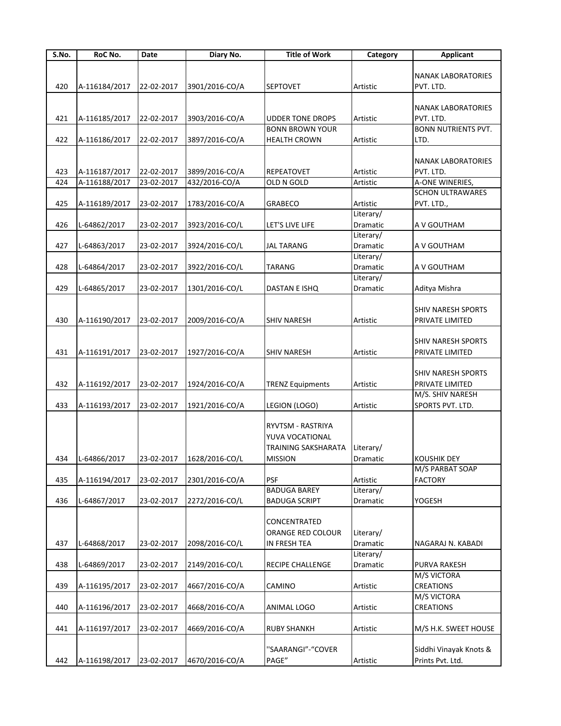| S.No. | RoC No.       | Date       | Diary No.      | <b>Title of Work</b>    | Category  | <b>Applicant</b>           |
|-------|---------------|------------|----------------|-------------------------|-----------|----------------------------|
|       |               |            |                |                         |           |                            |
|       |               |            |                |                         |           | <b>NANAK LABORATORIES</b>  |
| 420   | A-116184/2017 | 22-02-2017 | 3901/2016-CO/A | <b>SEPTOVET</b>         | Artistic  | PVT. LTD.                  |
|       |               |            |                |                         |           |                            |
|       |               |            |                |                         |           | <b>NANAK LABORATORIES</b>  |
| 421   | A-116185/2017 | 22-02-2017 | 3903/2016-CO/A | <b>UDDER TONE DROPS</b> | Artistic  | PVT. LTD.                  |
|       |               |            |                | <b>BONN BROWN YOUR</b>  |           | <b>BONN NUTRIENTS PVT.</b> |
| 422   | A-116186/2017 | 22-02-2017 | 3897/2016-CO/A | <b>HEALTH CROWN</b>     | Artistic  | LTD.                       |
|       |               |            |                |                         |           |                            |
|       |               |            |                |                         |           | <b>NANAK LABORATORIES</b>  |
| 423   | A-116187/2017 | 22-02-2017 | 3899/2016-CO/A | <b>REPEATOVET</b>       | Artistic  | PVT. LTD.                  |
| 424   | A-116188/2017 | 23-02-2017 | 432/2016-CO/A  | OLD N GOLD              | Artistic  | A-ONE WINERIES,            |
|       |               |            |                |                         |           | <b>SCHON ULTRAWARES</b>    |
| 425   | A-116189/2017 | 23-02-2017 | 1783/2016-CO/A | <b>GRABECO</b>          | Artistic  | PVT. LTD.,                 |
|       |               |            |                |                         | Literary/ |                            |
| 426   | L-64862/2017  | 23-02-2017 | 3923/2016-CO/L | LET'S LIVE LIFE         | Dramatic  | A V GOUTHAM                |
|       |               |            |                |                         | Literary/ |                            |
|       |               |            |                |                         |           |                            |
| 427   | L-64863/2017  | 23-02-2017 | 3924/2016-CO/L | <b>JAL TARANG</b>       | Dramatic  | A V GOUTHAM                |
|       |               |            |                |                         | Literary/ |                            |
| 428   | L-64864/2017  | 23-02-2017 | 3922/2016-CO/L | <b>TARANG</b>           | Dramatic  | A V GOUTHAM                |
|       |               |            |                |                         | Literary/ |                            |
| 429   | L-64865/2017  | 23-02-2017 | 1301/2016-CO/L | DASTAN E ISHQ           | Dramatic  | Aditya Mishra              |
|       |               |            |                |                         |           |                            |
|       |               |            |                |                         |           | <b>SHIV NARESH SPORTS</b>  |
| 430   | A-116190/2017 | 23-02-2017 | 2009/2016-CO/A | <b>SHIV NARESH</b>      | Artistic  | PRIVATE LIMITED            |
|       |               |            |                |                         |           |                            |
|       |               |            |                |                         |           | <b>SHIV NARESH SPORTS</b>  |
| 431   | A-116191/2017 | 23-02-2017 | 1927/2016-CO/A | <b>SHIV NARESH</b>      | Artistic  | PRIVATE LIMITED            |
|       |               |            |                |                         |           |                            |
|       |               |            |                |                         |           | <b>SHIV NARESH SPORTS</b>  |
| 432   | A-116192/2017 | 23-02-2017 | 1924/2016-CO/A | <b>TRENZ Equipments</b> | Artistic  | PRIVATE LIMITED            |
|       |               |            |                |                         |           | M/S. SHIV NARESH           |
| 433   | A-116193/2017 | 23-02-2017 | 1921/2016-CO/A | LEGION (LOGO)           | Artistic  | SPORTS PVT. LTD.           |
|       |               |            |                |                         |           |                            |
|       |               |            |                | RYVTSM - RASTRIYA       |           |                            |
|       |               |            |                | YUVA VOCATIONAL         |           |                            |
|       |               |            |                | TRAINING SAKSHARATA     | Literary/ |                            |
| 434   | L-64866/2017  | 23-02-2017 | 1628/2016-CO/L | <b>MISSION</b>          | Dramatic  | <b>KOUSHIK DEY</b>         |
|       |               |            |                |                         |           | M/S PARBAT SOAP            |
| 435   | A-116194/2017 | 23-02-2017 | 2301/2016-CO/A | <b>PSF</b>              | Artistic  | <b>FACTORY</b>             |
|       |               |            |                | <b>BADUGA BAREY</b>     | Literary/ |                            |
| 436   | L-64867/2017  | 23-02-2017 | 2272/2016-CO/L | <b>BADUGA SCRIPT</b>    | Dramatic  | YOGESH                     |
|       |               |            |                |                         |           |                            |
|       |               |            |                | CONCENTRATED            |           |                            |
|       |               |            |                |                         |           |                            |
|       |               |            |                | ORANGE RED COLOUR       | Literary/ |                            |
| 437   | L-64868/2017  | 23-02-2017 | 2098/2016-CO/L | IN FRESH TEA            | Dramatic  | NAGARAJ N. KABADI          |
|       |               |            |                |                         | Literary/ |                            |
| 438   | L-64869/2017  | 23-02-2017 | 2149/2016-CO/L | <b>RECIPE CHALLENGE</b> | Dramatic  | <b>PURVA RAKESH</b>        |
|       |               |            |                |                         |           | M/S VICTORA                |
| 439   | A-116195/2017 | 23-02-2017 | 4667/2016-CO/A | CAMINO                  | Artistic  | <b>CREATIONS</b>           |
|       |               |            |                |                         |           | M/S VICTORA                |
| 440   | A-116196/2017 | 23-02-2017 | 4668/2016-CO/A | ANIMAL LOGO             | Artistic  | <b>CREATIONS</b>           |
|       |               |            |                |                         |           |                            |
| 441   | A-116197/2017 | 23-02-2017 | 4669/2016-CO/A | <b>RUBY SHANKH</b>      | Artistic  | M/S H.K. SWEET HOUSE       |
|       |               |            |                |                         |           |                            |
|       |               |            |                | "SAARANGI"-"COVER       |           | Siddhi Vinayak Knots &     |
| 442   | A-116198/2017 | 23-02-2017 | 4670/2016-CO/A | PAGE"                   | Artistic  | Prints Pvt. Ltd.           |
|       |               |            |                |                         |           |                            |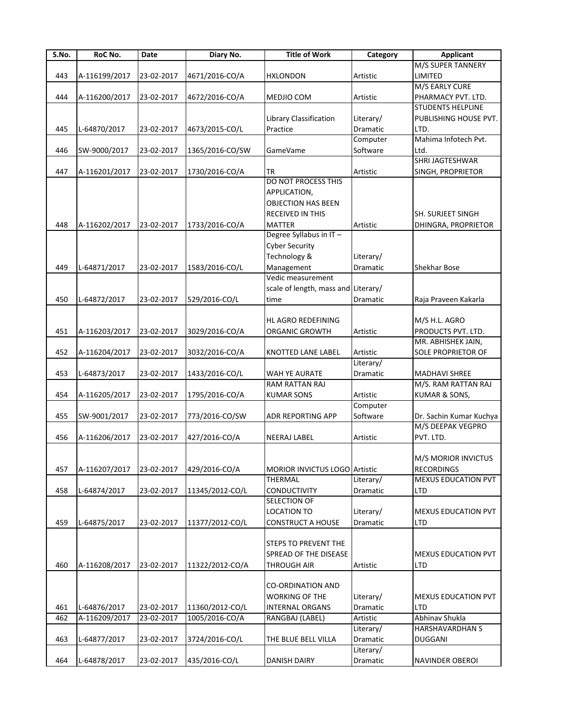| S.No. | RoC No.       | Date       | Diary No.       | <b>Title of Work</b>                | Category        | <b>Applicant</b>           |
|-------|---------------|------------|-----------------|-------------------------------------|-----------------|----------------------------|
|       |               |            |                 |                                     |                 | M/S SUPER TANNERY          |
| 443   | A-116199/2017 | 23-02-2017 | 4671/2016-CO/A  | <b>HXLONDON</b>                     | Artistic        | LIMITED                    |
|       |               |            |                 |                                     |                 | M/S EARLY CURE             |
| 444   | A-116200/2017 | 23-02-2017 | 4672/2016-CO/A  | MEDJIO COM                          | Artistic        | PHARMACY PVT. LTD.         |
|       |               |            |                 |                                     |                 | <b>STUDENTS HELPLINE</b>   |
|       |               |            |                 | Library Classification              | Literary/       | PUBLISHING HOUSE PVT.      |
| 445   | L-64870/2017  | 23-02-2017 | 4673/2015-CO/L  | Practice                            | Dramatic        | LTD.                       |
|       |               |            |                 |                                     | Computer        | Mahima Infotech Pvt.       |
|       |               |            |                 |                                     |                 | Ltd.                       |
| 446   | SW-9000/2017  | 23-02-2017 | 1365/2016-CO/SW | GameVame                            | Software        |                            |
|       |               |            |                 |                                     |                 | SHRI JAGTESHWAR            |
| 447   | A-116201/2017 | 23-02-2017 | 1730/2016-CO/A  | TR                                  | Artistic        | SINGH, PROPRIETOR          |
|       |               |            |                 | <b>DO NOT PROCESS THIS</b>          |                 |                            |
|       |               |            |                 | APPLICATION,                        |                 |                            |
|       |               |            |                 | <b>OBJECTION HAS BEEN</b>           |                 |                            |
|       |               |            |                 | RECEIVED IN THIS                    |                 | SH. SURJEET SINGH          |
| 448   | A-116202/2017 | 23-02-2017 | 1733/2016-CO/A  | <b>MATTER</b>                       | Artistic        | DHINGRA, PROPRIETOR        |
|       |               |            |                 | Degree Syllabus in IT-              |                 |                            |
|       |               |            |                 | <b>Cyber Security</b>               |                 |                            |
|       |               |            |                 | Technology &                        | Literary/       |                            |
| 449   | L-64871/2017  | 23-02-2017 | 1583/2016-CO/L  | Management                          | <b>Dramatic</b> | <b>Shekhar Bose</b>        |
|       |               |            |                 | Vedic measurement                   |                 |                            |
|       |               |            |                 | scale of length, mass and Literary/ |                 |                            |
| 450   | L-64872/2017  | 23-02-2017 | 529/2016-CO/L   | time                                | Dramatic        | Raja Praveen Kakarla       |
|       |               |            |                 |                                     |                 |                            |
|       |               |            |                 | HL AGRO REDEFINING                  |                 | M/S H.L. AGRO              |
| 451   | A-116203/2017 | 23-02-2017 | 3029/2016-CO/A  | ORGANIC GROWTH                      | Artistic        | PRODUCTS PVT. LTD.         |
|       |               |            |                 |                                     |                 | MR. ABHISHEK JAIN,         |
|       |               |            |                 |                                     |                 |                            |
| 452   | A-116204/2017 | 23-02-2017 | 3032/2016-CO/A  | KNOTTED LANE LABEL                  | Artistic        | SOLE PROPRIETOR OF         |
|       |               |            |                 |                                     | Literary/       |                            |
| 453   | L-64873/2017  | 23-02-2017 | 1433/2016-CO/L  | WAH YE AURATE                       | Dramatic        | <b>MADHAVI SHREE</b>       |
|       |               |            |                 | RAM RATTAN RAJ                      |                 | M/S. RAM RATTAN RAJ        |
| 454   | A-116205/2017 | 23-02-2017 | 1795/2016-CO/A  | <b>KUMAR SONS</b>                   | Artistic        | KUMAR & SONS,              |
|       |               |            |                 |                                     | Computer        |                            |
| 455   | SW-9001/2017  | 23-02-2017 | 773/2016-CO/SW  | <b>ADR REPORTING APP</b>            | Software        | Dr. Sachin Kumar Kuchya    |
|       |               |            |                 |                                     |                 | M/S DEEPAK VEGPRO          |
| 456   | A-116206/2017 | 23-02-2017 | 427/2016-CO/A   | <b>NEERAJ LABEL</b>                 | Artistic        | PVT. LTD.                  |
|       |               |            |                 |                                     |                 |                            |
|       |               |            |                 |                                     |                 | M/S MORIOR INVICTUS        |
| 457   | A-116207/2017 | 23-02-2017 | 429/2016-CO/A   | MORIOR INVICTUS LOGO Artistic       |                 | <b>RECORDINGS</b>          |
|       |               |            |                 | THERMAL                             | Literary/       | MEXUS EDUCATION PVT        |
| 458   | L-64874/2017  | 23-02-2017 | 11345/2012-CO/L | <b>CONDUCTIVITY</b>                 | <b>Dramatic</b> | LTD                        |
|       |               |            |                 | <b>SELECTION OF</b>                 |                 |                            |
|       |               |            |                 | <b>LOCATION TO</b>                  | Literary/       | MEXUS EDUCATION PVT        |
| 459   | L-64875/2017  | 23-02-2017 | 11377/2012-CO/L | <b>CONSTRUCT A HOUSE</b>            | Dramatic        | LTD                        |
|       |               |            |                 |                                     |                 |                            |
|       |               |            |                 | <b>STEPS TO PREVENT THE</b>         |                 |                            |
|       |               |            |                 | SPREAD OF THE DISEASE               |                 | <b>MEXUS EDUCATION PVT</b> |
|       |               |            |                 |                                     |                 |                            |
| 460   | A-116208/2017 | 23-02-2017 | 11322/2012-CO/A | <b>THROUGH AIR</b>                  | Artistic        | LTD                        |
|       |               |            |                 |                                     |                 |                            |
|       |               |            |                 | <b>CO-ORDINATION AND</b>            |                 |                            |
|       |               |            |                 | <b>WORKING OF THE</b>               | Literary/       | <b>MEXUS EDUCATION PVT</b> |
| 461   | L-64876/2017  | 23-02-2017 | 11360/2012-CO/L | <b>INTERNAL ORGANS</b>              | Dramatic        | <b>LTD</b>                 |
| 462   | A-116209/2017 | 23-02-2017 | 1005/2016-CO/A  | RANGBAJ (LABEL)                     | Artistic        | Abhinav Shukla             |
|       |               |            |                 |                                     | Literary/       | <b>HARSHAVARDHAN S</b>     |
| 463   | L-64877/2017  | 23-02-2017 | 3724/2016-CO/L  | THE BLUE BELL VILLA                 | Dramatic        | <b>DUGGANI</b>             |
|       |               |            |                 |                                     | Literary/       |                            |
| 464   | L-64878/2017  | 23-02-2017 | 435/2016-CO/L   | <b>DANISH DAIRY</b>                 | Dramatic        | NAVINDER OBEROI            |
|       |               |            |                 |                                     |                 |                            |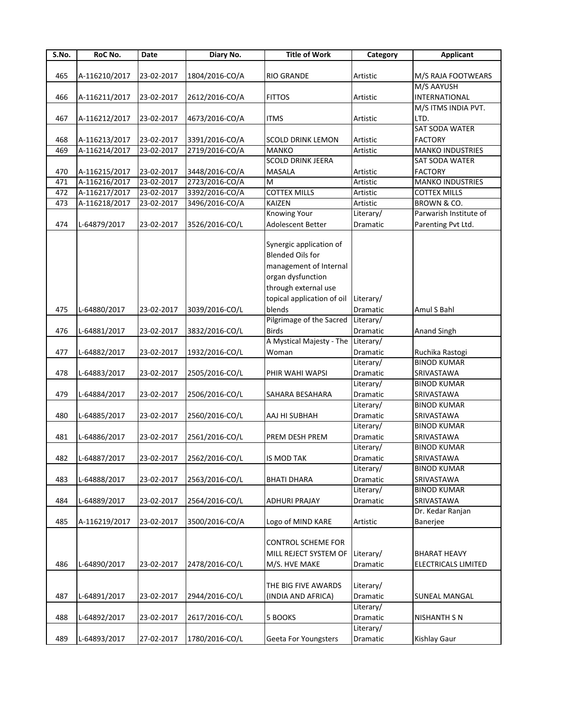| S.No. | RoC No.       | Date       | Diary No.      | <b>Title of Work</b>       | Category        | <b>Applicant</b>           |
|-------|---------------|------------|----------------|----------------------------|-----------------|----------------------------|
|       |               |            |                |                            |                 |                            |
| 465   | A-116210/2017 | 23-02-2017 | 1804/2016-CO/A | <b>RIO GRANDE</b>          | Artistic        | M/S RAJA FOOTWEARS         |
|       |               |            |                |                            |                 | M/S AAYUSH                 |
| 466   | A-116211/2017 | 23-02-2017 | 2612/2016-CO/A | <b>FITTOS</b>              | Artistic        | INTERNATIONAL              |
|       |               |            |                |                            |                 | M/S ITMS INDIA PVT.        |
| 467   | A-116212/2017 | 23-02-2017 | 4673/2016-CO/A | <b>ITMS</b>                | Artistic        | LTD.                       |
|       |               |            |                |                            |                 | SAT SODA WATER             |
| 468   | A-116213/2017 | 23-02-2017 | 3391/2016-CO/A | <b>SCOLD DRINK LEMON</b>   | Artistic        | <b>FACTORY</b>             |
| 469   | A-116214/2017 | 23-02-2017 | 2719/2016-CO/A | <b>MANKO</b>               | Artistic        | <b>MANKO INDUSTRIES</b>    |
|       |               |            |                | <b>SCOLD DRINK JEERA</b>   |                 | <b>SAT SODA WATER</b>      |
| 470   | A-116215/2017 | 23-02-2017 | 3448/2016-CO/A | MASALA                     | Artistic        | <b>FACTORY</b>             |
| 471   | A-116216/2017 | 23-02-2017 | 2723/2016-CO/A | M                          | Artistic        | <b>MANKO INDUSTRIES</b>    |
| 472   | A-116217/2017 | 23-02-2017 | 3392/2016-CO/A | <b>COTTEX MILLS</b>        | Artistic        | <b>COTTEX MILLS</b>        |
| 473   | A-116218/2017 | 23-02-2017 | 3496/2016-CO/A | KAIZEN                     | Artistic        | BROWN & CO.                |
|       |               |            |                | Knowing Your               | Literary/       | Parwarish Institute of     |
| 474   | L-64879/2017  | 23-02-2017 | 3526/2016-CO/L | Adolescent Better          | Dramatic        | Parenting Pvt Ltd.         |
|       |               |            |                |                            |                 |                            |
|       |               |            |                | Synergic application of    |                 |                            |
|       |               |            |                | <b>Blended Oils for</b>    |                 |                            |
|       |               |            |                | management of Internal     |                 |                            |
|       |               |            |                | organ dysfunction          |                 |                            |
|       |               |            |                | through external use       |                 |                            |
|       |               |            |                | topical application of oil | Literary/       |                            |
| 475   | L-64880/2017  | 23-02-2017 | 3039/2016-CO/L | blends                     | Dramatic        | Amul S Bahl                |
|       |               |            |                | Pilgrimage of the Sacred   | Literary/       |                            |
| 476   | L-64881/2017  | 23-02-2017 | 3832/2016-CO/L | Birds                      | Dramatic        | <b>Anand Singh</b>         |
|       |               |            |                | A Mystical Majesty - The   | Literary/       |                            |
| 477   | L-64882/2017  | 23-02-2017 | 1932/2016-CO/L | Woman                      | Dramatic        | Ruchika Rastogi            |
|       |               |            |                |                            | Literary/       | <b>BINOD KUMAR</b>         |
| 478   | L-64883/2017  | 23-02-2017 | 2505/2016-CO/L | PHIR WAHI WAPSI            | Dramatic        | SRIVASTAWA                 |
|       |               |            |                |                            | Literary/       | <b>BINOD KUMAR</b>         |
| 479   | L-64884/2017  | 23-02-2017 | 2506/2016-CO/L | SAHARA BESAHARA            | Dramatic        | SRIVASTAWA                 |
|       |               |            |                |                            | Literary/       | <b>BINOD KUMAR</b>         |
| 480   | L-64885/2017  | 23-02-2017 | 2560/2016-CO/L | AAJ HI SUBHAH              | Dramatic        | SRIVASTAWA                 |
|       |               |            |                |                            | Literary/       | <b>BINOD KUMAR</b>         |
| 481   | L-64886/2017  | 23-02-2017 | 2561/2016-CO/L | PREM DESH PREM             | Dramatic        | SRIVASTAWA                 |
|       |               |            |                |                            | Literary/       | <b>BINOD KUMAR</b>         |
| 482   | L-64887/2017  | 23-02-2017 | 2562/2016-CO/L | IS MOD TAK                 | Dramatic        | <b>SRIVASTAWA</b>          |
|       |               |            |                |                            | Literary/       | <b>BINOD KUMAR</b>         |
| 483   | L-64888/2017  | 23-02-2017 | 2563/2016-CO/L | <b>BHATI DHARA</b>         | Dramatic        | SRIVASTAWA                 |
|       |               |            |                |                            | Literary/       | <b>BINOD KUMAR</b>         |
| 484   | L-64889/2017  | 23-02-2017 | 2564/2016-CO/L | ADHURI PRAJAY              | Dramatic        | SRIVASTAWA                 |
|       |               |            |                |                            |                 | Dr. Kedar Ranjan           |
| 485   | A-116219/2017 | 23-02-2017 | 3500/2016-CO/A | Logo of MIND KARE          | Artistic        | Banerjee                   |
|       |               |            |                |                            |                 |                            |
|       |               |            |                | <b>CONTROL SCHEME FOR</b>  |                 |                            |
|       |               |            |                | MILL REJECT SYSTEM OF      | Literary/       | <b>BHARAT HEAVY</b>        |
| 486   | L-64890/2017  | 23-02-2017 | 2478/2016-CO/L | M/S. HVE MAKE              | <b>Dramatic</b> | <b>ELECTRICALS LIMITED</b> |
|       |               |            |                |                            |                 |                            |
|       |               |            |                | THE BIG FIVE AWARDS        | Literary/       |                            |
| 487   | L-64891/2017  | 23-02-2017 | 2944/2016-CO/L | (INDIA AND AFRICA)         | Dramatic        | <b>SUNEAL MANGAL</b>       |
|       |               |            |                |                            | Literary/       |                            |
| 488   | L-64892/2017  | 23-02-2017 | 2617/2016-CO/L | 5 BOOKS                    | Dramatic        | NISHANTH S N               |
|       |               |            |                |                            | Literary/       |                            |
| 489   | L-64893/2017  | 27-02-2017 | 1780/2016-CO/L | Geeta For Youngsters       | Dramatic        | Kishlay Gaur               |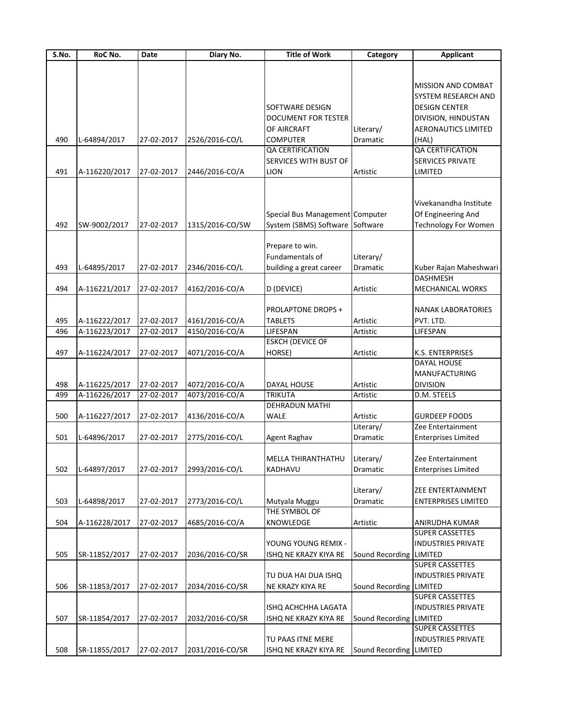| S.No. | RoC No.       | Date       | Diary No.       | <b>Title of Work</b>            | Category                | <b>Applicant</b>           |
|-------|---------------|------------|-----------------|---------------------------------|-------------------------|----------------------------|
|       |               |            |                 |                                 |                         |                            |
|       |               |            |                 |                                 |                         |                            |
|       |               |            |                 |                                 |                         | MISSION AND COMBAT         |
|       |               |            |                 |                                 |                         | SYSTEM RESEARCH AND        |
|       |               |            |                 | SOFTWARE DESIGN                 |                         | DESIGN CENTER              |
|       |               |            |                 | <b>DOCUMENT FOR TESTER</b>      |                         | DIVISION, HINDUSTAN        |
|       |               |            |                 | OF AIRCRAFT                     | Literary/               | <b>AERONAUTICS LIMITED</b> |
| 490   | L-64894/2017  | 27-02-2017 | 2526/2016-CO/L  | <b>COMPUTER</b>                 | Dramatic                | (HAL)                      |
|       |               |            |                 | QA CERTIFICATION                |                         | QA CERTIFICATION           |
|       |               |            |                 | SERVICES WITH BUST OF           |                         | <b>SERVICES PRIVATE</b>    |
| 491   | A-116220/2017 | 27-02-2017 | 2446/2016-CO/A  | <b>LION</b>                     | Artistic                | LIMITED                    |
|       |               |            |                 |                                 |                         |                            |
|       |               |            |                 |                                 |                         |                            |
|       |               |            |                 |                                 |                         | Vivekanandha Institute     |
|       |               |            |                 | Special Bus Management Computer |                         | Of Engineering And         |
| 492   |               |            |                 |                                 |                         |                            |
|       | SW-9002/2017  | 27-02-2017 | 1315/2016-CO/SW | System (SBMS) Software Software |                         | Technology For Women       |
|       |               |            |                 |                                 |                         |                            |
|       |               |            |                 | Prepare to win.                 |                         |                            |
|       |               |            |                 | Fundamentals of                 | Literary/               |                            |
| 493   | L-64895/2017  | 27-02-2017 | 2346/2016-CO/L  | building a great career         | Dramatic                | Kuber Rajan Maheshwari     |
|       |               |            |                 |                                 |                         | DASHMESH                   |
| 494   | A-116221/2017 | 27-02-2017 | 4162/2016-CO/A  | D (DEVICE)                      | Artistic                | MECHANICAL WORKS           |
|       |               |            |                 |                                 |                         |                            |
|       |               |            |                 | <b>PROLAPTONE DROPS +</b>       |                         | NANAK LABORATORIES         |
| 495   | A-116222/2017 | 27-02-2017 | 4161/2016-CO/A  | <b>TABLETS</b>                  | Artistic                | PVT. LTD.                  |
| 496   | A-116223/2017 | 27-02-2017 | 4150/2016-CO/A  | LIFESPAN                        | Artistic                | LIFESPAN                   |
|       |               |            |                 | <b>ESKCH (DEVICE OF</b>         |                         |                            |
| 497   | A-116224/2017 | 27-02-2017 | 4071/2016-CO/A  | HORSE)                          | Artistic                | K.S. ENTERPRISES           |
|       |               |            |                 |                                 |                         | DAYAL HOUSE                |
|       |               |            |                 |                                 |                         | <b>MANUFACTURING</b>       |
| 498   | A-116225/2017 | 27-02-2017 | 4072/2016-CO/A  | <b>DAYAL HOUSE</b>              | Artistic                | <b>DIVISION</b>            |
| 499   | A-116226/2017 | 27-02-2017 | 4073/2016-CO/A  | <b>TRIKUTA</b>                  | Artistic                | D.M. STEELS                |
|       |               |            |                 | DEHRADUN MATHI                  |                         |                            |
|       |               |            |                 | <b>WALE</b>                     |                         |                            |
| 500   | A-116227/2017 | 27-02-2017 | 4136/2016-CO/A  |                                 | Artistic                | <b>GURDEEP FOODS</b>       |
|       |               |            |                 |                                 | Literary/               | Zee Entertainment          |
| 501   | L-64896/2017  | 27-02-2017 | 2775/2016-CO/L  | Agent Raghav                    | Dramatic                | <b>Enterprises Limited</b> |
|       |               |            |                 |                                 |                         |                            |
|       |               |            |                 | <b>MELLA THIRANTHATHU</b>       | Literary/               | Zee Entertainment          |
| 502   | L-64897/2017  | 27-02-2017 | 2993/2016-CO/L  | KADHAVU                         | Dramatic                | <b>Enterprises Limited</b> |
|       |               |            |                 |                                 |                         |                            |
|       |               |            |                 |                                 | Literary/               | ZEE ENTERTAINMENT          |
| 503   | L-64898/2017  | 27-02-2017 | 2773/2016-CO/L  | Mutyala Muggu                   | Dramatic                | <b>ENTERPRISES LIMITED</b> |
|       |               |            |                 | THE SYMBOL OF                   |                         |                            |
| 504   | A-116228/2017 | 27-02-2017 | 4685/2016-CO/A  | KNOWLEDGE                       | Artistic                | ANIRUDHA KUMAR             |
|       |               |            |                 |                                 |                         | <b>SUPER CASSETTES</b>     |
|       |               |            |                 | YOUNG YOUNG REMIX -             |                         | <b>INDUSTRIES PRIVATE</b>  |
| 505   | SR-11852/2017 | 27-02-2017 | 2036/2016-CO/SR | ISHQ NE KRAZY KIYA RE           | Sound Recording LIMITED |                            |
|       |               |            |                 |                                 |                         | <b>SUPER CASSETTES</b>     |
|       |               |            |                 | TU DUA HAI DUA ISHQ             |                         | <b>INDUSTRIES PRIVATE</b>  |
| 506   | SR-11853/2017 | 27-02-2017 | 2034/2016-CO/SR | NE KRAZY KIYA RE                | Sound Recording LIMITED |                            |
|       |               |            |                 |                                 |                         | <b>SUPER CASSETTES</b>     |
|       |               |            |                 |                                 |                         |                            |
|       |               |            |                 | ISHQ ACHCHHA LAGATA             |                         | <b>INDUSTRIES PRIVATE</b>  |
| 507   | SR-11854/2017 | 27-02-2017 | 2032/2016-CO/SR | ISHQ NE KRAZY KIYA RE           | Sound Recording LIMITED |                            |
|       |               |            |                 |                                 |                         | <b>SUPER CASSETTES</b>     |
|       |               |            |                 | TU PAAS ITNE MERE               |                         | <b>INDUSTRIES PRIVATE</b>  |
| 508   | SR-11855/2017 | 27-02-2017 | 2031/2016-CO/SR | ISHQ NE KRAZY KIYA RE           | Sound Recording LIMITED |                            |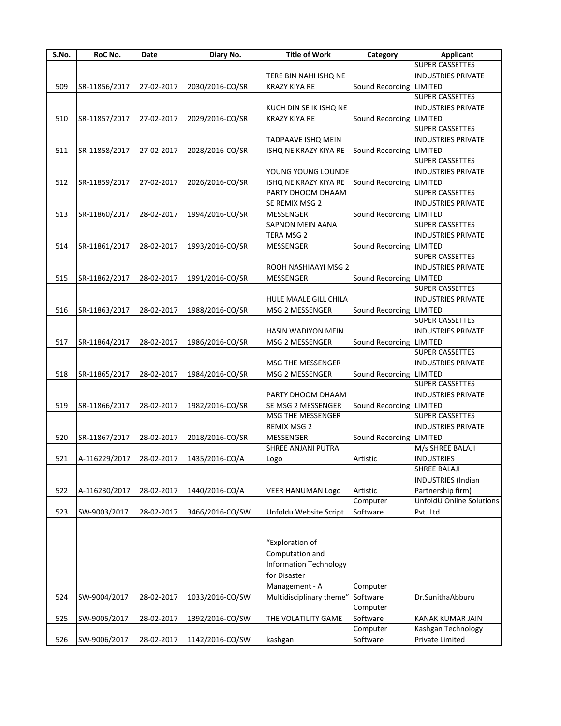| S.No. | RoC No.       | Date       | Diary No.                               | <b>Title of Work</b>          | Category                | <b>Applicant</b>          |
|-------|---------------|------------|-----------------------------------------|-------------------------------|-------------------------|---------------------------|
|       |               |            |                                         |                               |                         | <b>SUPER CASSETTES</b>    |
|       |               |            |                                         | TERE BIN NAHI ISHQ NE         |                         | <b>INDUSTRIES PRIVATE</b> |
| 509   | SR-11856/2017 | 27-02-2017 | 2030/2016-CO/SR                         | <b>KRAZY KIYA RE</b>          | Sound Recording         | LIMITED                   |
|       |               |            |                                         |                               |                         | <b>SUPER CASSETTES</b>    |
|       |               |            |                                         | KUCH DIN SE IK ISHQ NE        |                         | <b>INDUSTRIES PRIVATE</b> |
| 510   | SR-11857/2017 | 27-02-2017 | 2029/2016-CO/SR                         | <b>KRAZY KIYA RE</b>          | Sound Recording         | <b>LIMITED</b>            |
|       |               |            |                                         |                               |                         | <b>SUPER CASSETTES</b>    |
|       |               |            |                                         | <b>TADPAAVE ISHQ MEIN</b>     |                         | <b>INDUSTRIES PRIVATE</b> |
| 511   | SR-11858/2017 | 27-02-2017 | 2028/2016-CO/SR                         | ISHQ NE KRAZY KIYA RE         | Sound Recording         | LIMITED                   |
|       |               |            |                                         |                               |                         | <b>SUPER CASSETTES</b>    |
|       |               |            |                                         | YOUNG YOUNG LOUNDE            |                         | <b>INDUSTRIES PRIVATE</b> |
| 512   | SR-11859/2017 | 27-02-2017 | 2026/2016-CO/SR                         | ISHQ NE KRAZY KIYA RE         | Sound Recording         | LIMITED                   |
|       |               |            |                                         | PARTY DHOOM DHAAM             |                         | SUPER CASSETTES           |
|       |               |            |                                         | SE REMIX MSG 2                |                         | <b>INDUSTRIES PRIVATE</b> |
|       |               |            |                                         |                               |                         |                           |
| 513   | SR-11860/2017 | 28-02-2017 | 1994/2016-CO/SR                         | MESSENGER                     | Sound Recording         | LIMITED                   |
|       |               |            |                                         | SAPNON MEIN AANA              |                         | <b>SUPER CASSETTES</b>    |
|       |               |            |                                         | TERA MSG 2                    |                         | <b>INDUSTRIES PRIVATE</b> |
| 514   | SR-11861/2017 | 28-02-2017 | 1993/2016-CO/SR                         | MESSENGER                     | Sound Recording         | LIMITED                   |
|       |               |            |                                         |                               |                         | <b>SUPER CASSETTES</b>    |
|       |               |            |                                         | ROOH NASHIAAYI MSG 2          |                         | <b>INDUSTRIES PRIVATE</b> |
| 515   | SR-11862/2017 | 28-02-2017 | 1991/2016-CO/SR                         | <b>MESSENGER</b>              | Sound Recording         | <b>LIMITED</b>            |
|       |               |            |                                         |                               |                         | <b>SUPER CASSETTES</b>    |
|       |               |            |                                         | HULE MAALE GILL CHILA         |                         | <b>INDUSTRIES PRIVATE</b> |
| 516   | SR-11863/2017 | 28-02-2017 | 1988/2016-CO/SR                         | MSG 2 MESSENGER               | Sound Recording         | LIMITED                   |
|       |               |            |                                         |                               |                         | <b>SUPER CASSETTES</b>    |
|       |               |            |                                         | HASIN WADIYON MEIN            |                         | <b>INDUSTRIES PRIVATE</b> |
| 517   | SR-11864/2017 | 28-02-2017 | 1986/2016-CO/SR                         | MSG 2 MESSENGER               | Sound Recording LIMITED |                           |
|       |               |            |                                         |                               |                         | SUPER CASSETTES           |
|       |               |            |                                         | MSG THE MESSENGER             |                         | <b>INDUSTRIES PRIVATE</b> |
| 518   | SR-11865/2017 | 28-02-2017 | 1984/2016-CO/SR                         | MSG 2 MESSENGER               | Sound Recording         | <b>LIMITED</b>            |
|       |               |            |                                         |                               |                         | <b>SUPER CASSETTES</b>    |
|       |               |            |                                         | PARTY DHOOM DHAAM             |                         | <b>INDUSTRIES PRIVATE</b> |
| 519   | SR-11866/2017 | 28-02-2017 | 1982/2016-CO/SR                         | SE MSG 2 MESSENGER            | Sound Recording LIMITED |                           |
|       |               |            |                                         | MSG THE MESSENGER             |                         | <b>SUPER CASSETTES</b>    |
|       |               |            |                                         | <b>REMIX MSG 2</b>            |                         | <b>INDUSTRIES PRIVATE</b> |
| 520   | SR-11867/2017 | 28-02-2017 | 2018/2016-CO/SR                         | MESSENGER                     | Sound Recording         | <b>LIMITED</b>            |
|       |               |            |                                         | <b>SHREE ANJANI PUTRA</b>     |                         | M/s SHREE BALAJI          |
| 521   |               |            | A-116229/2017 28-02-2017 1435/2016-CO/A | Logo                          | Artistic                | <b>INDUSTRIES</b>         |
|       |               |            |                                         |                               |                         | SHREE BALAJI              |
|       |               |            |                                         |                               |                         | <b>INDUSTRIES</b> (Indian |
| 522   | A-116230/2017 | 28-02-2017 | 1440/2016-CO/A                          | <b>VEER HANUMAN Logo</b>      | Artistic                | Partnership firm)         |
|       |               |            |                                         |                               | Computer                | UnfoldU Online Solutions  |
| 523   | SW-9003/2017  | 28-02-2017 | 3466/2016-CO/SW                         | Unfoldu Website Script        | Software                | Pvt. Ltd.                 |
|       |               |            |                                         |                               |                         |                           |
|       |               |            |                                         |                               |                         |                           |
|       |               |            |                                         | "Exploration of               |                         |                           |
|       |               |            |                                         | Computation and               |                         |                           |
|       |               |            |                                         | <b>Information Technology</b> |                         |                           |
|       |               |            |                                         | for Disaster                  |                         |                           |
|       |               |            |                                         |                               |                         |                           |
|       |               |            |                                         | Management - A                | Computer                |                           |
| 524   | SW-9004/2017  | 28-02-2017 | 1033/2016-CO/SW                         | Multidisciplinary theme"      | Software                | Dr.SunithaAbburu          |
|       |               |            |                                         |                               | Computer                |                           |
| 525   | SW-9005/2017  | 28-02-2017 | 1392/2016-CO/SW                         | THE VOLATILITY GAME           | Software                | KANAK KUMAR JAIN          |
|       |               |            |                                         |                               | Computer                | Kashgan Technology        |
| 526   | SW-9006/2017  | 28-02-2017 | 1142/2016-CO/SW                         | kashgan                       | Software                | Private Limited           |